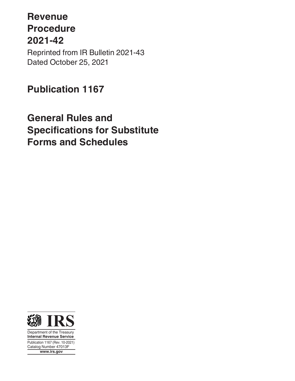# **Revenue Procedure 2021-42** Reprinted from IR Bulletin 2021-43 Dated October 25, 2021

# **Publication 1167**

# **General Rules and Specifications for Substitute Forms and Schedules**



Department of the Treasury **Internal Revenue Service** Publication 1167 (Rev. 10-2021) Catalog Number 47013F **www.irs.gov**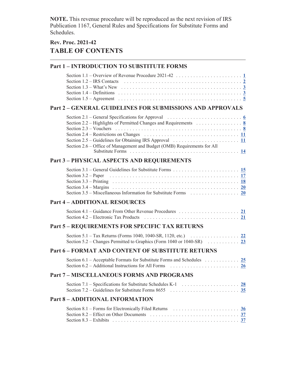**NOTE.** This revenue procedure will be reproduced as the next revision of IRS Publication 1167, General Rules and Specifications for Substitute Forms and Schedules.

# **Rev. Proc. 2021-42 TABLE OF CONTENTS**

| <b>Part 1 - INTRODUCTION TO SUBSTITUTE FORMS</b>                                                                                                                                                                                                                                                                                                                                                                                                                                                                                               |  |
|------------------------------------------------------------------------------------------------------------------------------------------------------------------------------------------------------------------------------------------------------------------------------------------------------------------------------------------------------------------------------------------------------------------------------------------------------------------------------------------------------------------------------------------------|--|
| Section 1.2 – IRS Contacts $\ldots \ldots \ldots \ldots \ldots \ldots \ldots \ldots \ldots \ldots \ldots \ldots \ldots$<br>Section 1.3 – What's New $\ldots \ldots \ldots \ldots \ldots \ldots \ldots \ldots \ldots \ldots \ldots \ldots \frac{3}{2}$<br>Section 1.4 – Definitions $\ldots \ldots \ldots \ldots \ldots \ldots \ldots \ldots \ldots \ldots \ldots \ldots \ldots \frac{3}{2}$                                                                                                                                                    |  |
| <b>Part 2 - GENERAL GUIDELINES FOR SUBMISSIONS AND APPROVALS</b>                                                                                                                                                                                                                                                                                                                                                                                                                                                                               |  |
| Section 2.1 – General Specifications for Approval $\ldots \ldots \ldots \ldots \ldots \ldots \ldots \ldots$<br>Section 2.2 – Highlights of Permitted Changes and Requirements $\ldots \ldots \ldots \ldots$<br>Section 2.4 – Restrictions on Changes $\ldots \ldots \ldots \ldots \ldots \ldots \ldots \ldots \ldots \ldots \frac{11}{11}$<br>Section 2.5 – Guidelines for Obtaining IRS Approval $\ldots \ldots \ldots \ldots \ldots \ldots \ldots \frac{11}{11}$<br>Section 2.6 – Office of Management and Budget (OMB) Requirements for All |  |
| <b>Part 3 - PHYSICAL ASPECTS AND REQUIREMENTS</b>                                                                                                                                                                                                                                                                                                                                                                                                                                                                                              |  |
| Section 3.2 – Paper<br>Section 3.5 – Miscellaneous Information for Substitute Forms $\ldots \ldots \ldots \ldots \ldots$ 20                                                                                                                                                                                                                                                                                                                                                                                                                    |  |
| <b>Part 4 - ADDITIONAL RESOURCES</b>                                                                                                                                                                                                                                                                                                                                                                                                                                                                                                           |  |
| Section 4.2 – Electronic Tax Products $\ldots \ldots \ldots \ldots \ldots \ldots \ldots \ldots \ldots \ldots \ldots \frac{21}{2}$                                                                                                                                                                                                                                                                                                                                                                                                              |  |
| Part 5 - REQUIREMENTS FOR SPECIFIC TAX RETURNS                                                                                                                                                                                                                                                                                                                                                                                                                                                                                                 |  |
| Section 5.1 – Tax Returns (Forms 1040, 1040-SR, 1120, etc.) $\ldots \ldots \ldots \ldots \ldots$                                                                                                                                                                                                                                                                                                                                                                                                                                               |  |
| <b>Part 6 - FORMAT AND CONTENT OF SUBSTITUTE RETURNS</b>                                                                                                                                                                                                                                                                                                                                                                                                                                                                                       |  |
| Section 6.1 – Acceptable Formats for Substitute Forms and Schedules $\ldots \ldots \ldots \ldots$<br>Section 6.2 – Additional Instructions for All Forms $\ldots \ldots \ldots \ldots \ldots \ldots \ldots$                                                                                                                                                                                                                                                                                                                                    |  |
| <b>Part 7 - MISCELLANEOUS FORMS AND PROGRAMS</b>                                                                                                                                                                                                                                                                                                                                                                                                                                                                                               |  |
| Section 7.1 – Specifications for Substitute Schedules K-1 $\ldots \ldots \ldots \ldots \ldots$                                                                                                                                                                                                                                                                                                                                                                                                                                                 |  |
| <b>Part 8 - ADDITIONAL INFORMATION</b>                                                                                                                                                                                                                                                                                                                                                                                                                                                                                                         |  |
| Section 8.1 – Forms for Electronically Filed Returns $\ldots \ldots \ldots \ldots \ldots \ldots \ldots \frac{36}{20}$<br>Section 8.2 – Effect on Other Documents $\ldots \ldots \ldots \ldots \ldots \ldots \ldots \ldots \ldots \ldots \ldots$<br>Section 8.3 – Exhibits $\ldots \ldots \ldots \ldots \ldots \ldots \ldots \ldots \ldots \ldots \ldots \ldots \ldots \frac{37}{1}$                                                                                                                                                            |  |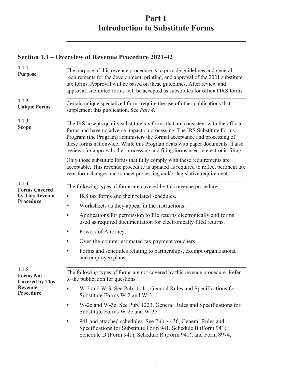# **Part 1 Introduction to Substitute Forms**

## <span id="page-2-0"></span>**Section 1.1 – Overview of Revenue Procedure 2021-42**

| 1.1.1<br><b>Purpose</b>                             | The purpose of this revenue procedure is to provide guidelines and general<br>requirements for the development, printing, and approval of the 2021 substitute<br>tax forms. Approval will be based on these guidelines. After review and<br>approval, submitted forms will be accepted as substitutes for official IRS forms.                                                                                      |  |  |
|-----------------------------------------------------|--------------------------------------------------------------------------------------------------------------------------------------------------------------------------------------------------------------------------------------------------------------------------------------------------------------------------------------------------------------------------------------------------------------------|--|--|
| 1.1.2<br><b>Unique Forms</b>                        | Certain unique specialized forms require the use of other publications that<br>supplement this publication. See Part 4.                                                                                                                                                                                                                                                                                            |  |  |
| 1.1.3<br><b>Scope</b>                               | The IRS accepts quality substitute tax forms that are consistent with the official<br>forms and have no adverse impact on processing. The IRS Substitute Forms<br>Program (the Program) administers the formal acceptance and processing of<br>these forms nationwide. While this Program deals with paper documents, it also<br>reviews for approval other processing and filing forms used in electronic filing. |  |  |
|                                                     | Only those substitute forms that fully comply with these requirements are<br>acceptable. This revenue procedure is updated as required to reflect pertinent tax<br>year form changes and to meet processing and/or legislative requirements.                                                                                                                                                                       |  |  |
| 1.1.4                                               | The following types of forms are covered by this revenue procedure.                                                                                                                                                                                                                                                                                                                                                |  |  |
| <b>Forms Covered</b><br>by This Revenue             | IRS tax forms and their related schedules.                                                                                                                                                                                                                                                                                                                                                                         |  |  |
| Procedure                                           | Worksheets as they appear in the instructions.                                                                                                                                                                                                                                                                                                                                                                     |  |  |
|                                                     | Applications for permission to file returns electronically and forms<br>$\bullet$<br>used as required documentation for electronically filed returns.                                                                                                                                                                                                                                                              |  |  |
|                                                     | Powers of Attorney.                                                                                                                                                                                                                                                                                                                                                                                                |  |  |
|                                                     | Over-the-counter estimated tax payment vouchers.                                                                                                                                                                                                                                                                                                                                                                   |  |  |
|                                                     | Forms and schedules relating to partnerships, exempt organizations,<br>$\bullet$<br>and employee plans.                                                                                                                                                                                                                                                                                                            |  |  |
| 1.1.5<br><b>Forms Not</b><br><b>Covered by This</b> | The following types of forms are not covered by this revenue procedure. Refer<br>to the publication for questions.                                                                                                                                                                                                                                                                                                 |  |  |
| <b>Revenue</b><br>Procedure                         | W-2 and W-3. See Pub. 1141, General Rules and Specifications for<br>Substitute Forms W-2 and W-3.                                                                                                                                                                                                                                                                                                                  |  |  |
|                                                     | W-2c and W-3c. See Pub. 1223, General Rules and Specifications for<br>$\bullet$<br>Substitute Forms W-2c and W-3c.                                                                                                                                                                                                                                                                                                 |  |  |
|                                                     | 941 and attached schedules. See Pub. 4436, General Rules and<br>Specifications for Substitute Form 941, Schedule B (Form 941),<br>Schedule D (Form 941), Schedule R (Form 941), and Form 8974.                                                                                                                                                                                                                     |  |  |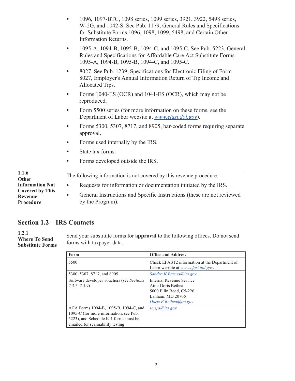<span id="page-3-0"></span>

| $\bullet$ | 1096, 1097-BTC, 1098 series, 1099 series, 3921, 3922, 5498 series, |
|-----------|--------------------------------------------------------------------|
|           | W-2G, and 1042-S. See Pub. 1179, General Rules and Specifications  |
|           | for Substitute Forms 1096, 1098, 1099, 5498, and Certain Other     |
|           | Information Returns.                                               |

- 1095-A, 1094-B, 1095-B, 1094-C, and 1095-C. See Pub. 5223, General Rules and Specifications for Affordable Care Act Substitute Forms 1095-A, 1094-B, 1095-B, 1094-C, and 1095-C.
- 8027. See Pub. 1239, Specifications for Electronic Filing of Form 8027, Employer's Annual Information Return of Tip Income and Allocated Tips.
- Forms 1040-ES (OCR) and 1041-ES (OCR), which may not be reproduced.
- Form 5500 series (for more information on these forms, see the Department of Labor website at *[www.efast.dol.gov](http://www.efast.dol.gov)*).
- Forms 5300, 5307, 8717, and 8905, bar-coded forms requiring separate approval.
- Forms used internally by the IRS.
- State tax forms.
- Forms developed outside the IRS.

| 1.1.6<br>Other                                        | The following information is not covered by this revenue procedure.                                     |  |  |
|-------------------------------------------------------|---------------------------------------------------------------------------------------------------------|--|--|
| <b>Information Not</b>                                | Requests for information or documentation initiated by the IRS.<br>$\bullet$                            |  |  |
| <b>Covered by This</b><br><b>Revenue</b><br>Procedure | General Instructions and Specific Instructions (these are not reviewed<br>$\bullet$<br>by the Program). |  |  |

#### **Section 1.2 – IRS Contacts**

**1.2.1 Where To Send Substitute Forms**

. Send your substitute forms for **approval** to the following offices. Do not send forms with taxpayer data.

| Form                                      | <b>Office and Address</b>                     |
|-------------------------------------------|-----------------------------------------------|
| 5500                                      | Check EFAST2 information at the Department of |
|                                           | Labor website at <i>www.efast.dol.gov.</i>    |
| 5300, 5307, 8717, and 8905                | Sandra.K.Barnes@irs.gov                       |
| Software developer vouchers (see Sections | Internal Revenue Service                      |
| $2.3.7 - 2.3.9$                           | Attn: Doris Bethea                            |
|                                           | 5000 Ellin Road, C5-226                       |
|                                           | Lanham, MD 20706                              |
|                                           | Doris.E.Bethea@irs.gov                        |
| ACA Forms 1094-B, 1095-B, 1094-C, and     | $scrips(a)$ irs.gov                           |
| 1095-C (for more information, see Pub.    |                                               |
| 5223), and Schedule K-1 forms must be     |                                               |
| emailed for scannability testing          |                                               |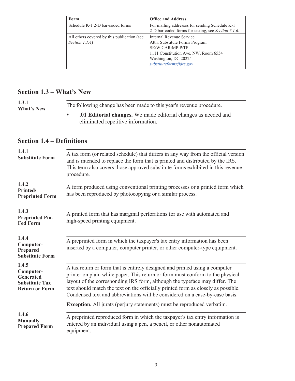<span id="page-4-0"></span>

| Form                                        | <b>Office and Address</b>                           |
|---------------------------------------------|-----------------------------------------------------|
| Schedule K-1 2-D bar-coded forms            | For mailing addresses for sending Schedule K-1      |
|                                             | 2-D bar-coded forms for testing, see Section 7.1.6. |
| All others covered by this publication (see | Internal Revenue Service                            |
| Section $1.1.4$ )                           | Attn: Substitute Forms Program                      |
|                                             | SE:W:CAR:MP:P:TP                                    |
|                                             | 1111 Constitution Ave. NW, Room 6554                |
|                                             | Washington, DC 20224                                |
|                                             | substituteforms@irs.gov                             |
|                                             |                                                     |

### **Section 1.3 – What's New**

. The following change has been made to this year's revenue procedure. **1.3.1 What's New**

• **.01 Editorial changes.** We made editorial changes as needed and eliminated repetitive information.

#### **Section 1.4 – Definitions**

| 1.4.1<br><b>Substitute Form</b>                                                          | A tax form (or related schedule) that differs in any way from the official version<br>and is intended to replace the form that is printed and distributed by the IRS.<br>This term also covers those approved substitute forms exhibited in this revenue<br>procedure.                                                                                                                                            |  |  |
|------------------------------------------------------------------------------------------|-------------------------------------------------------------------------------------------------------------------------------------------------------------------------------------------------------------------------------------------------------------------------------------------------------------------------------------------------------------------------------------------------------------------|--|--|
| 1.4.2<br>Printed/<br><b>Preprinted Form</b>                                              | A form produced using conventional printing processes or a printed form which<br>has been reproduced by photocopying or a similar process.                                                                                                                                                                                                                                                                        |  |  |
| 1.4.3<br><b>Preprinted Pin-</b><br><b>Fed Form</b>                                       | A printed form that has marginal perforations for use with automated and<br>high-speed printing equipment.                                                                                                                                                                                                                                                                                                        |  |  |
| 1.4.4<br>Computer-<br><b>Prepared</b><br><b>Substitute Form</b>                          | A preprinted form in which the taxpayer's tax entry information has been<br>inserted by a computer, computer printer, or other computer-type equipment.                                                                                                                                                                                                                                                           |  |  |
| 1.4.5<br>Computer-<br><b>Generated</b><br><b>Substitute Tax</b><br><b>Return or Form</b> | A tax return or form that is entirely designed and printed using a computer<br>printer on plain white paper. This return or form must conform to the physical<br>layout of the corresponding IRS form, although the typeface may differ. The<br>text should match the text on the officially printed form as closely as possible.<br>Condensed text and abbreviations will be considered on a case-by-case basis. |  |  |
|                                                                                          | <b>Exception.</b> All jurats (perjury statements) must be reproduced verbatim.                                                                                                                                                                                                                                                                                                                                    |  |  |
| 1.4.6<br><b>Manually</b><br><b>Prepared Form</b>                                         | A preprinted reproduced form in which the taxpayer's tax entry information is<br>entered by an individual using a pen, a pencil, or other nonautomated<br>equipment.                                                                                                                                                                                                                                              |  |  |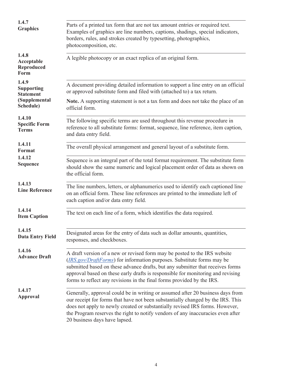| 1.4.7<br><b>Graphics</b>                         | Parts of a printed tax form that are not tax amount entries or required text.<br>Examples of graphics are line numbers, captions, shadings, special indicators,<br>borders, rules, and strokes created by typesetting, photographics,<br>photocomposition, etc.                                                                                                                                    |  |  |
|--------------------------------------------------|----------------------------------------------------------------------------------------------------------------------------------------------------------------------------------------------------------------------------------------------------------------------------------------------------------------------------------------------------------------------------------------------------|--|--|
| 1.4.8<br>Acceptable<br><b>Reproduced</b><br>Form | A legible photocopy or an exact replica of an original form.                                                                                                                                                                                                                                                                                                                                       |  |  |
| 1.4.9<br><b>Supporting</b><br><b>Statement</b>   | A document providing detailed information to support a line entry on an official<br>or approved substitute form and filed with (attached to) a tax return.                                                                                                                                                                                                                                         |  |  |
| (Supplemental<br>Schedule)                       | Note. A supporting statement is not a tax form and does not take the place of an<br>official form.                                                                                                                                                                                                                                                                                                 |  |  |
| 1.4.10<br><b>Specific Form</b><br><b>Terms</b>   | The following specific terms are used throughout this revenue procedure in<br>reference to all substitute forms: format, sequence, line reference, item caption,<br>and data entry field.                                                                                                                                                                                                          |  |  |
| 1.4.11<br><b>Format</b>                          | The overall physical arrangement and general layout of a substitute form.                                                                                                                                                                                                                                                                                                                          |  |  |
| 1.4.12<br><b>Sequence</b>                        | Sequence is an integral part of the total format requirement. The substitute form<br>should show the same numeric and logical placement order of data as shown on<br>the official form.                                                                                                                                                                                                            |  |  |
| 1.4.13<br><b>Line Reference</b>                  | The line numbers, letters, or alphanumerics used to identify each captioned line<br>on an official form. These line references are printed to the immediate left of<br>each caption and/or data entry field.                                                                                                                                                                                       |  |  |
| 1.4.14<br><b>Item Caption</b>                    | The text on each line of a form, which identifies the data required.                                                                                                                                                                                                                                                                                                                               |  |  |
| 1.4.15<br><b>Data Entry Field</b>                | Designated areas for the entry of data such as dollar amounts, quantities,<br>responses, and checkboxes.                                                                                                                                                                                                                                                                                           |  |  |
| 1.4.16<br><b>Advance Draft</b>                   | A draft version of a new or revised form may be posted to the IRS website<br>(IRS.gov/DraftForms) for information purposes. Substitute forms may be<br>submitted based on these advance drafts, but any submitter that receives forms<br>approval based on these early drafts is responsible for monitoring and revising<br>forms to reflect any revisions in the final forms provided by the IRS. |  |  |
| 1.4.17<br><b>Approval</b>                        | Generally, approval could be in writing or assumed after 20 business days from<br>our receipt for forms that have not been substantially changed by the IRS. This<br>does not apply to newly created or substantially revised IRS forms. However,<br>the Program reserves the right to notify vendors of any inaccuracies even after<br>20 business days have lapsed.                              |  |  |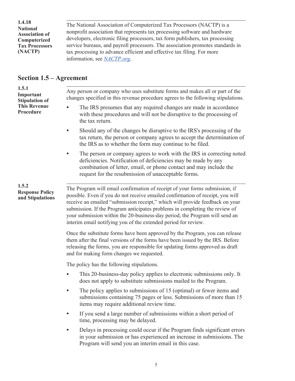<span id="page-6-0"></span>. The National Association of Computerized Tax Processors (NACTP) is a nonprofit association that represents tax processing software and hardware developers, electronic filing processors, tax form publishers, tax processing service bureaus, and payroll processors. The association promotes standards in tax processing to advance efficient and effective tax filing. For more information, see *[NACTP.org](https://www.nactp.org)*. **1.4.18 National Association of Computerized Tax Processors (NACTP)**

#### **Section 1.5 – Agreement**

. Any person or company who uses substitute forms and makes all or part of the changes specified in this revenue procedure agrees to the following stipulations. The IRS presumes that any required changes are made in accordance with these procedures and will not be disruptive to the processing of the tax return. • Should any of the changes be disruptive to the IRS's processing of the tax return, the person or company agrees to accept the determination of the IRS as to whether the form may continue to be filed. • The person or company agrees to work with the IRS in correcting noted deficiencies. Notification of deficiencies may be made by any combination of letter, email, or phone contact and may include the request for the resubmission of unacceptable forms. . The Program will email confirmation of receipt of your forms submission, if possible. Even if you do not receive emailed confirmation of receipt, you will receive an emailed "submission receipt," which will provide feedback on your submission. If the Program anticipates problems in completing the review of your submission within the 20-business-day period, the Program will send an interim email notifying you of the extended period for review. Once the substitute forms have been approved by the Program, you can release them after the final versions of the forms have been issued by the IRS. Before releasing the forms, you are responsible for updating forms approved as draft and for making form changes we requested. The policy has the following stipulations. • This 20-business-day policy applies to electronic submissions only. It does not apply to substitute submissions mailed to the Program. • The policy applies to submissions of 15 (optimal) or fewer items and submissions containing 75 pages or less. Submissions of more than 15 items may require additional review time. • If you send a large number of submissions within a short period of time, processing may be delayed. • Delays in processing could occur if the Program finds significant errors in your submission or has experienced an increase in submissions. The Program will send you an interim email in this case. **1.5.1 Important Stipulation of This Revenue Procedure 1.5.2 Response Policy and Stipulations**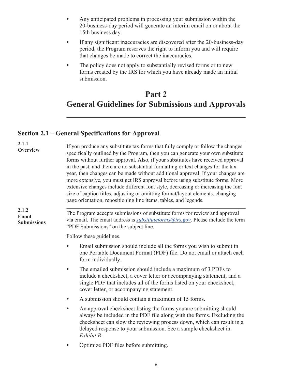- <span id="page-7-0"></span>• Any anticipated problems in processing your submission within the 20-business-day period will generate an interim email on or about the 15th business day.
- If any significant inaccuracies are discovered after the 20-business-day period, the Program reserves the right to inform you and will require that changes be made to correct the inaccuracies.
- The policy does not apply to substantially revised forms or to new forms created by the IRS for which you have already made an initial submission.

# **Part 2 General Guidelines for Submissions and Approvals**

## **Section 2.1 – General Specifications for Approval**

| 2.1.1<br>Overview                           | If you produce any substitute tax forms that fully comply or follow the changes<br>specifically outlined by the Program, then you can generate your own substitute<br>forms without further approval. Also, if your substitutes have received approval<br>in the past, and there are no substantial formatting or text changes for the tax<br>year, then changes can be made without additional approval. If your changes are<br>more extensive, you must get IRS approval before using substitute forms. More<br>extensive changes include different font style, decreasing or increasing the font<br>size of caption titles, adjusting or omitting format/layout elements, changing<br>page orientation, repositioning line items, tables, and legends. |  |  |
|---------------------------------------------|-----------------------------------------------------------------------------------------------------------------------------------------------------------------------------------------------------------------------------------------------------------------------------------------------------------------------------------------------------------------------------------------------------------------------------------------------------------------------------------------------------------------------------------------------------------------------------------------------------------------------------------------------------------------------------------------------------------------------------------------------------------|--|--|
| 2.1.2<br><b>Email</b><br><b>Submissions</b> | The Program accepts submissions of substitute forms for review and approval<br>via email. The email address is <i>substituteforms@irs.gov</i> . Please include the term<br>"PDF Submissions" on the subject line.                                                                                                                                                                                                                                                                                                                                                                                                                                                                                                                                         |  |  |
|                                             | Follow these guidelines.                                                                                                                                                                                                                                                                                                                                                                                                                                                                                                                                                                                                                                                                                                                                  |  |  |
|                                             | Email submission should include all the forms you wish to submit in<br>one Portable Document Format (PDF) file. Do not email or attach each<br>form individually.                                                                                                                                                                                                                                                                                                                                                                                                                                                                                                                                                                                         |  |  |
|                                             | The emailed submission should include a maximum of 3 PDFs to<br>$\bullet$<br>include a checksheet, a cover letter or accompanying statement, and a<br>single PDF that includes all of the forms listed on your checksheet,<br>cover letter, or accompanying statement.                                                                                                                                                                                                                                                                                                                                                                                                                                                                                    |  |  |
|                                             | A submission should contain a maximum of 15 forms.                                                                                                                                                                                                                                                                                                                                                                                                                                                                                                                                                                                                                                                                                                        |  |  |
|                                             | An approval checksheet listing the forms you are submitting should<br>always be included in the PDF file along with the forms. Excluding the<br>checksheet can slow the reviewing process down, which can result in a<br>delayed response to your submission. See a sample checksheet in<br>Exhibit B.                                                                                                                                                                                                                                                                                                                                                                                                                                                    |  |  |
|                                             | Optimize PDF files before submitting.                                                                                                                                                                                                                                                                                                                                                                                                                                                                                                                                                                                                                                                                                                                     |  |  |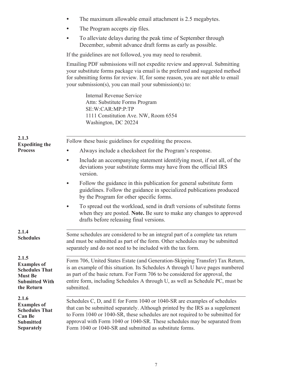- The maximum allowable email attachment is 2.5 megabytes.
- The Program accepts zip files.
- To alleviate delays during the peak time of September through December, submit advance draft forms as early as possible.

If the guidelines are not followed, you may need to resubmit.

Emailing PDF submissions will not expedite review and approval. Submitting your substitute forms package via email is the preferred and suggested method for submitting forms for review. If, for some reason, you are not able to email your submission(s), you can mail your submission(s) to:

> Internal Revenue Service Attn: Substitute Forms Program SE:W:CAR:MP:P:TP 1111 Constitution Ave. NW, Room 6554 Washington, DC 20224

| 2.1.3<br><b>Expediting the</b>                                                                                 | Follow these basic guidelines for expediting the process.                                                                                                                                                                                                                                                                                                                          |  |  |
|----------------------------------------------------------------------------------------------------------------|------------------------------------------------------------------------------------------------------------------------------------------------------------------------------------------------------------------------------------------------------------------------------------------------------------------------------------------------------------------------------------|--|--|
| <b>Process</b>                                                                                                 | Always include a checksheet for the Program's response.                                                                                                                                                                                                                                                                                                                            |  |  |
|                                                                                                                | Include an accompanying statement identifying most, if not all, of the<br>$\bullet$<br>deviations your substitute forms may have from the official IRS<br>version.                                                                                                                                                                                                                 |  |  |
|                                                                                                                | Follow the guidance in this publication for general substitute form<br>guidelines. Follow the guidance in specialized publications produced<br>by the Program for other specific forms.                                                                                                                                                                                            |  |  |
|                                                                                                                | To spread out the workload, send in draft versions of substitute forms<br>when they are posted. Note. Be sure to make any changes to approved<br>drafts before releasing final versions.                                                                                                                                                                                           |  |  |
| 2.1.4<br><b>Schedules</b>                                                                                      | Some schedules are considered to be an integral part of a complete tax return<br>and must be submitted as part of the form. Other schedules may be submitted<br>separately and do not need to be included with the tax form.                                                                                                                                                       |  |  |
| 2.1.5<br><b>Examples of</b><br><b>Schedules That</b><br><b>Must Be</b><br><b>Submitted With</b><br>the Return  | Form 706, United States Estate (and Generation-Skipping Transfer) Tax Return,<br>is an example of this situation. Its Schedules A through U have pages numbered<br>as part of the basic return. For Form 706 to be considered for approval, the<br>entire form, including Schedules A through U, as well as Schedule PC, must be<br>submitted.                                     |  |  |
| 2.1.6<br><b>Examples of</b><br><b>Schedules That</b><br><b>Can Be</b><br><b>Submitted</b><br><b>Separately</b> | Schedules C, D, and E for Form 1040 or 1040-SR are examples of schedules<br>that can be submitted separately. Although printed by the IRS as a supplement<br>to Form 1040 or 1040-SR, these schedules are not required to be submitted for<br>approval with Form 1040 or 1040-SR. These schedules may be separated from<br>Form 1040 or 1040-SR and submitted as substitute forms. |  |  |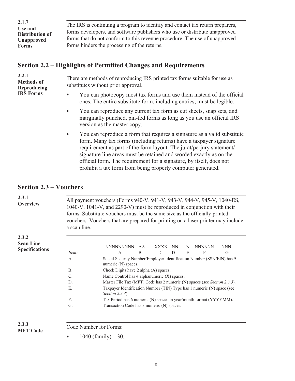<span id="page-9-0"></span>. The IRS is continuing a program to identify and contact tax return preparers, forms developers, and software publishers who use or distribute unapproved forms that do not conform to this revenue procedure. The use of unapproved forms hinders the processing of the returns. **2.1.7 Use and Distribution of Unapproved Forms**

### **Section 2.2 – Highlights of Permitted Changes and Requirements**

| 2.2.1<br><b>Methods of</b><br>Reproducing<br><b>IRS Forms</b> | There are methods of reproducing IRS printed tax forms suitable for use as<br>substitutes without prior approval.                                                                                                                                                                                                                                                                                                                               |  |  |
|---------------------------------------------------------------|-------------------------------------------------------------------------------------------------------------------------------------------------------------------------------------------------------------------------------------------------------------------------------------------------------------------------------------------------------------------------------------------------------------------------------------------------|--|--|
|                                                               | You can photocopy most tax forms and use them instead of the official<br>$\bullet$<br>ones. The entire substitute form, including entries, must be legible.                                                                                                                                                                                                                                                                                     |  |  |
|                                                               | You can reproduce any current tax form as cut sheets, snap sets, and<br>$\bullet$<br>marginally punched, pin-fed forms as long as you use an official IRS<br>version as the master copy.                                                                                                                                                                                                                                                        |  |  |
|                                                               | You can reproduce a form that requires a signature as a valid substitute<br>$\bullet$<br>form. Many tax forms (including returns) have a taxpayer signature<br>requirement as part of the form layout. The jurat/perjury statement/<br>signature line areas must be retained and worded exactly as on the<br>official form. The requirement for a signature, by itself, does not<br>prohibit a tax form from being properly computer generated. |  |  |

### **Section 2.3 – Vouchers**

| 2.3.1<br><b>Overview</b>                  | All payment vouchers (Forms 940-V, 941-V, 943-V, 944-V, 945-V, 1040-ES,<br>1040-V, 1041-V, and 2290-V) must be reproduced in conjunction with their<br>forms. Substitute vouchers must be the same size as the officially printed<br>vouchers. Vouchers that are prepared for printing on a laser printer may include<br>a scan line. |                                                                                              |  |
|-------------------------------------------|---------------------------------------------------------------------------------------------------------------------------------------------------------------------------------------------------------------------------------------------------------------------------------------------------------------------------------------|----------------------------------------------------------------------------------------------|--|
| 2.3.2                                     |                                                                                                                                                                                                                                                                                                                                       |                                                                                              |  |
| <b>Scan Line</b><br><b>Specifications</b> |                                                                                                                                                                                                                                                                                                                                       | <b>NNNNNNNNN</b><br><b>XXXX</b><br><b>NNNNNN</b><br><b>NNN</b><br>AA<br><b>NN</b><br>N       |  |
|                                           | Item:                                                                                                                                                                                                                                                                                                                                 | $\mathcal{C}$<br>E<br>B<br>D<br>F<br>G<br>$\mathsf{A}$                                       |  |
|                                           | $\mathsf{A}$ .                                                                                                                                                                                                                                                                                                                        | Social Security Number/Employer Identification Number (SSN/EIN) has 9<br>numeric (N) spaces. |  |
|                                           | B <sub>1</sub>                                                                                                                                                                                                                                                                                                                        | Check Digits have 2 alpha (A) spaces.                                                        |  |
|                                           | $\mathcal{C}$                                                                                                                                                                                                                                                                                                                         | Name Control has 4 alphanumeric (X) spaces.                                                  |  |
|                                           | D.                                                                                                                                                                                                                                                                                                                                    | Master File Tax (MFT) Code has 2 numeric (N) spaces (see Section 2.3.3).                     |  |
|                                           | E                                                                                                                                                                                                                                                                                                                                     | Taxpayer Identification Number (TIN) Type has 1 numeric (N) space (see<br>Section $2.3.4$ ). |  |
|                                           | F.                                                                                                                                                                                                                                                                                                                                    | Tax Period has 6 numeric (N) spaces in year/month format (YYYYMM).                           |  |
|                                           | G.                                                                                                                                                                                                                                                                                                                                    | Transaction Code has 3 numeric (N) spaces.                                                   |  |
|                                           |                                                                                                                                                                                                                                                                                                                                       |                                                                                              |  |

**2.3.3 MFT Code** . Code Number for Forms:

•  $1040$  (family)  $-30$ ,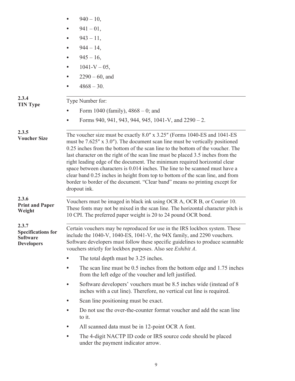|                                                                            | $940 - 10$ ,<br>$\bullet$                                                                                                                                                                                                                                                                                                                                                                                                                                                                                                                                                                                                                                                      |  |
|----------------------------------------------------------------------------|--------------------------------------------------------------------------------------------------------------------------------------------------------------------------------------------------------------------------------------------------------------------------------------------------------------------------------------------------------------------------------------------------------------------------------------------------------------------------------------------------------------------------------------------------------------------------------------------------------------------------------------------------------------------------------|--|
|                                                                            | $941 - 01$ ,<br>$\bullet$                                                                                                                                                                                                                                                                                                                                                                                                                                                                                                                                                                                                                                                      |  |
|                                                                            | $943 - 11,$<br>$\bullet$                                                                                                                                                                                                                                                                                                                                                                                                                                                                                                                                                                                                                                                       |  |
|                                                                            | $944 - 14,$<br>$\bullet$                                                                                                                                                                                                                                                                                                                                                                                                                                                                                                                                                                                                                                                       |  |
|                                                                            | $945 - 16$ ,<br>$\bullet$                                                                                                                                                                                                                                                                                                                                                                                                                                                                                                                                                                                                                                                      |  |
|                                                                            | $1041-V - 05$ ,<br>$\bullet$                                                                                                                                                                                                                                                                                                                                                                                                                                                                                                                                                                                                                                                   |  |
|                                                                            | $2290 - 60$ , and                                                                                                                                                                                                                                                                                                                                                                                                                                                                                                                                                                                                                                                              |  |
|                                                                            | $4868 - 30.$<br>$\bullet$                                                                                                                                                                                                                                                                                                                                                                                                                                                                                                                                                                                                                                                      |  |
| 2.3.4<br><b>TIN Type</b>                                                   | Type Number for:                                                                                                                                                                                                                                                                                                                                                                                                                                                                                                                                                                                                                                                               |  |
|                                                                            | Form 1040 (family), $4868 - 0$ ; and                                                                                                                                                                                                                                                                                                                                                                                                                                                                                                                                                                                                                                           |  |
|                                                                            | Forms 940, 941, 943, 944, 945, 1041-V, and $2290 - 2$ .<br>$\bullet$                                                                                                                                                                                                                                                                                                                                                                                                                                                                                                                                                                                                           |  |
| 2.3.5<br><b>Voucher Size</b>                                               | The voucher size must be exactly 8.0" x 3.25" (Forms 1040-ES and 1041-ES<br>must be $7.625''$ x 3.0"). The document scan line must be vertically positioned<br>0.25 inches from the bottom of the scan line to the bottom of the voucher. The<br>last character on the right of the scan line must be placed 3.5 inches from the<br>right leading edge of the document. The minimum required horizontal clear<br>space between characters is 0.014 inches. The line to be scanned must have a<br>clear band 0.25 inches in height from top to bottom of the scan line, and from<br>border to border of the document. "Clear band" means no printing except for<br>dropout ink. |  |
| 2.3.6<br><b>Print and Paper</b><br>Weight                                  | Vouchers must be imaged in black ink using OCR A, OCR B, or Courier 10.<br>These fonts may not be mixed in the scan line. The horizontal character pitch is<br>10 CPI. The preferred paper weight is 20 to 24 pound OCR bond.                                                                                                                                                                                                                                                                                                                                                                                                                                                  |  |
| 2.3.7<br><b>Specifications for</b><br><b>Software</b><br><b>Developers</b> | Certain vouchers may be reproduced for use in the IRS lockbox system. These<br>include the 1040-V, 1040-ES, 1041-V, the 94X family, and 2290 vouchers.<br>Software developers must follow these specific guidelines to produce scannable<br>vouchers strictly for lockbox purposes. Also see <i>Exhibit A</i> .                                                                                                                                                                                                                                                                                                                                                                |  |
|                                                                            | The total depth must be 3.25 inches.<br>$\bullet$                                                                                                                                                                                                                                                                                                                                                                                                                                                                                                                                                                                                                              |  |
|                                                                            | The scan line must be 0.5 inches from the bottom edge and 1.75 inches<br>$\bullet$<br>from the left edge of the voucher and left justified.                                                                                                                                                                                                                                                                                                                                                                                                                                                                                                                                    |  |
|                                                                            | Software developers' vouchers must be 8.5 inches wide (instead of 8<br>$\bullet$<br>inches with a cut line). Therefore, no vertical cut line is required.                                                                                                                                                                                                                                                                                                                                                                                                                                                                                                                      |  |
|                                                                            | Scan line positioning must be exact.<br>$\bullet$                                                                                                                                                                                                                                                                                                                                                                                                                                                                                                                                                                                                                              |  |
|                                                                            | Do not use the over-the-counter format voucher and add the scan line<br>$\bullet$<br>to it.                                                                                                                                                                                                                                                                                                                                                                                                                                                                                                                                                                                    |  |
|                                                                            | All scanned data must be in 12-point OCR A font.<br>$\bullet$                                                                                                                                                                                                                                                                                                                                                                                                                                                                                                                                                                                                                  |  |
|                                                                            | The 4-digit NACTP ID code or IRS source code should be placed<br>$\bullet$<br>under the payment indicator arrow.                                                                                                                                                                                                                                                                                                                                                                                                                                                                                                                                                               |  |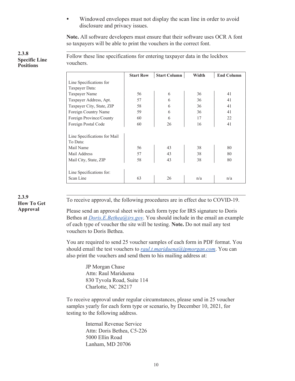• Windowed envelopes must not display the scan line in order to avoid disclosure and privacy issues.

**Note.** All software developers must ensure that their software uses OCR A font so taxpayers will be able to print the vouchers in the correct font.

**2.3.8 Specific Line Positions**

. Follow these line specifications for entering taxpayer data in the lockbox vouchers.

|                              | <b>Start Row</b> | <b>Start Column</b> | Width | <b>End Column</b> |
|------------------------------|------------------|---------------------|-------|-------------------|
| Line Specifications for      |                  |                     |       |                   |
| Taxpayer Data:               |                  |                     |       |                   |
| Taxpayer Name                | 56               | 6                   | 36    | 41                |
| Taxpayer Address, Apt.       | 57               | 6                   | 36    | 41                |
| Taxpayer City, State, ZIP    | 58               | 6                   | 36    | 41                |
| Foreign Country Name         | 59               | 6                   | 36    | 41                |
| Foreign Province/County      | 60               | 6                   | 17    | 22                |
| Foreign Postal Code          | 60               | 26                  | 16    | 41                |
|                              |                  |                     |       |                   |
| Line Specifications for Mail |                  |                     |       |                   |
| To Data:                     |                  |                     |       |                   |
| Mail Name                    | 56               | 43                  | 38    | 80                |
| Mail Address                 | 57               | 43                  | 38    | 80                |
| Mail City, State, ZIP        | 58               | 43                  | 38    | 80                |
|                              |                  |                     |       |                   |
| Line Specifications for:     |                  |                     |       |                   |
| Scan Line                    | 63               | 26                  | n/a   | n/a               |

**2.3.9 How To Get Approval**

. To receive approval, the following procedures are in effect due to COVID-19.

Please send an approval sheet with each form type for IRS signature to Doris Bethea at *[Doris.E.Bethea@irs.gov](mailto:Doris.E.Bethea@irs.gov)*. You should include in the email an example of each type of voucher the site will be testing. **Note.** Do not mail any test vouchers to Doris Bethea.

You are required to send 25 voucher samples of each form in PDF format. You should email the test vouchers to *[raul.t.mariduena@jpmorgan.com](mailto:Raul.T.Mariduena@jpmorgan.com)*. You can also print the vouchers and send them to his mailing address at:

> JP Morgan Chase Attn: Raul Mariduena 830 Tyvola Road, Suite 114 Charlotte, NC 28217

To receive approval under regular circumstances, please send in 25 voucher samples yearly for each form type or scenario, by December 10, 2021, for testing to the following address.

> Internal Revenue Service Attn: Doris Bethea, C5-226 5000 Ellin Road Lanham, MD 20706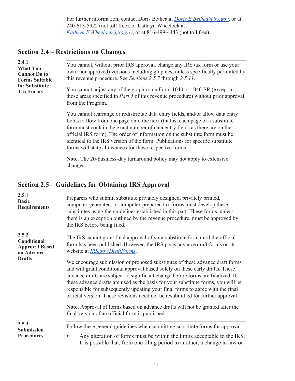For further information, contact Doris Bethea at *[Doris.E.Bethea@irs.gov](mailto:Doris.E.Bethea@irs.gov)*, or at 240-613-5922 (not toll free), or Kathryn Wheelock at *[Kathryn.F.Wheelock@irs.gov](mailto:Kathryn.F.Wheelock@ irs.gov)*, or at 816-499-4443 (not toll free).

# <span id="page-12-0"></span>**Section 2.4 – Restrictions on Changes**

| 2.4.1<br><b>What You</b><br><b>Cannot Do to</b><br><b>Forms Suitable</b><br>for Substitute<br><b>Tax Forms</b> | You cannot, without prior IRS approval, change any IRS tax form or use your<br>own (nonapproved) versions including graphics, unless specifically permitted by<br>this revenue procedure. See Sections 2.5.7 through 2.5.11.                                                                                                                                                                                                                                                 |
|----------------------------------------------------------------------------------------------------------------|------------------------------------------------------------------------------------------------------------------------------------------------------------------------------------------------------------------------------------------------------------------------------------------------------------------------------------------------------------------------------------------------------------------------------------------------------------------------------|
|                                                                                                                | You cannot adjust any of the graphics on Form 1040 or 1040-SR (except in<br>those areas specified in <i>Part 5</i> of this revenue procedure) without prior approval<br>from the Program.                                                                                                                                                                                                                                                                                    |
|                                                                                                                | You cannot rearrange or redistribute data entry fields, and/or allow data entry<br>fields to flow from one page onto the next (that is, each page of a substitute<br>form must contain the exact number of data entry fields as there are on the<br>official IRS form). The order of information on the substitute form must be<br>identical to the IRS version of the form. Publications for specific substitute<br>forms will state allowances for those respective forms. |
|                                                                                                                | <b>Note.</b> The 20-business-day turnaround policy may not apply to extensive<br>changes.                                                                                                                                                                                                                                                                                                                                                                                    |
|                                                                                                                |                                                                                                                                                                                                                                                                                                                                                                                                                                                                              |

#### **Section 2.5 – Guidelines for Obtaining IRS Approval**

| 2.5.1<br><b>Basic</b><br><b>Requirements</b>                | Preparers who submit substitute privately designed, privately printed,<br>computer-generated, or computer-prepared tax forms must develop these<br>substitutes using the guidelines established in this part. These forms, unless<br>there is an exception outlined by the revenue procedure, must be approved by<br>the IRS before being filed.                                                                                                                                                           |
|-------------------------------------------------------------|------------------------------------------------------------------------------------------------------------------------------------------------------------------------------------------------------------------------------------------------------------------------------------------------------------------------------------------------------------------------------------------------------------------------------------------------------------------------------------------------------------|
| 2.5.2<br>Conditional<br><b>Approval Based</b><br>on Advance | The IRS cannot grant final approval of your substitute form until the official<br>form has been published. However, the IRS posts advance draft forms on its<br>website at <i>IRS.gov/DraftForms.</i>                                                                                                                                                                                                                                                                                                      |
| <b>Drafts</b>                                               | We encourage submission of proposed substitutes of these advance draft forms<br>and will grant conditional approval based solely on these early drafts. These<br>advance drafts are subject to significant change before forms are finalized. If<br>these advance drafts are used as the basis for your substitute forms, you will be<br>responsible for subsequently updating your final forms to agree with the final<br>official version. These revisions need not be resubmitted for further approval. |
|                                                             | Note. Approval of forms based on advance drafts will not be granted after the<br>final version of an official form is published.                                                                                                                                                                                                                                                                                                                                                                           |
| 2.5.3<br><b>Submission</b><br><b>Procedures</b>             | Follow these general guidelines when submitting substitute forms for approval.<br>Any alteration of forms must be within the limits acceptable to the IRS.<br>It is possible that, from one filing period to another, a change in law or                                                                                                                                                                                                                                                                   |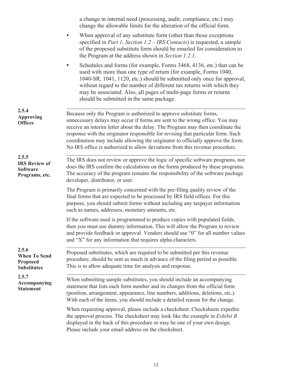|                                                                       | a change in internal need (processing, audit, compliance, etc.) may<br>change the allowable limits for the alteration of the official form.                                                                                                                                                                                                                                                                                                                                                  |
|-----------------------------------------------------------------------|----------------------------------------------------------------------------------------------------------------------------------------------------------------------------------------------------------------------------------------------------------------------------------------------------------------------------------------------------------------------------------------------------------------------------------------------------------------------------------------------|
|                                                                       | When approval of any substitute form (other than those exceptions<br>specified in <i>Part 1</i> , <i>Section 1.2 – IRS Contacts</i> ) is requested, a sample<br>of the proposed substitute form should be emailed for consideration to<br>the Program at the address shown in Section 1.2.1.                                                                                                                                                                                                 |
|                                                                       | Schedules and forms (for example, Forms 3468, 4136, etc.) that can be<br>used with more than one type of return (for example, Forms 1040,<br>1040-SR, 1041, 1120, etc.) should be submitted only once for approval,<br>without regard to the number of different tax returns with which they<br>may be associated. Also, all pages of multi-page forms or returns<br>should be submitted in the same package.                                                                                |
| 2.5.4<br><b>Approving</b><br><b>Offices</b>                           | Because only the Program is authorized to approve substitute forms,<br>unnecessary delays may occur if forms are sent to the wrong office. You may<br>receive an interim letter about the delay. The Program may then coordinate the<br>response with the originator responsible for revising that particular form. Such<br>coordination may include allowing the originator to officially approve the form.<br>No IRS office is authorized to allow deviations from this revenue procedure. |
| 2.5.5<br><b>IRS Review of</b><br><b>Software</b><br>Programs, etc.    | The IRS does not review or approve the logic of specific software programs, nor<br>does the IRS confirm the calculations on the forms produced by these programs.<br>The accuracy of the program remains the responsibility of the software package<br>developer, distributor, or user.                                                                                                                                                                                                      |
|                                                                       | The Program is primarily concerned with the pre-filing quality review of the<br>final forms that are expected to be processed by IRS field offices. For this<br>purpose, you should submit forms without including any taxpayer information<br>such as names, addresses, monetary amounts, etc.                                                                                                                                                                                              |
|                                                                       | If the software used is programmed to produce copies with populated fields,<br>then you must use dummy information. This will allow the Program to review<br>and provide feedback or approval. Vendors should use "0" for all number values<br>and "X" for any information that requires alpha characters.                                                                                                                                                                                   |
| 2.5.6<br><b>When To Send</b><br><b>Proposed</b><br><b>Substitutes</b> | Proposed substitutes, which are required to be submitted per this revenue<br>procedure, should be sent as much in advance of the filing period as possible.<br>This is to allow adequate time for analysis and response.                                                                                                                                                                                                                                                                     |
| 2.5.7<br>Accompanying<br><b>Statement</b>                             | When submitting sample substitutes, you should include an accompanying<br>statement that lists each form number and its changes from the official form<br>(position, arrangement, appearance, line numbers, additions, deletions, etc.).<br>With each of the items, you should include a detailed reason for the change.                                                                                                                                                                     |
|                                                                       | When requesting approval, please include a checksheet. Checksheets expedite<br>the approval process. The checksheet may look like the example in <i>Exhibit B</i><br>displayed in the back of this procedure or may be one of your own design.<br>Please include your email address on the checksheet.                                                                                                                                                                                       |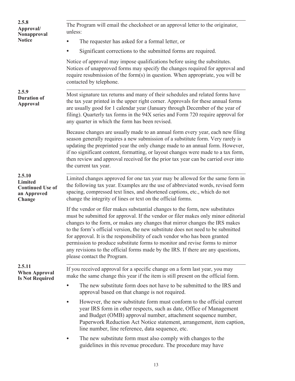| 2.5.8<br>Approval/<br>Nonapproval                                            | The Program will email the checksheet or an approval letter to the originator,<br>unless:                                                                                                                                                                                                                                                                                                                                                                                                                                                                                                                              |
|------------------------------------------------------------------------------|------------------------------------------------------------------------------------------------------------------------------------------------------------------------------------------------------------------------------------------------------------------------------------------------------------------------------------------------------------------------------------------------------------------------------------------------------------------------------------------------------------------------------------------------------------------------------------------------------------------------|
| <b>Notice</b>                                                                | The requester has asked for a formal letter, or                                                                                                                                                                                                                                                                                                                                                                                                                                                                                                                                                                        |
|                                                                              | Significant corrections to the submitted forms are required.                                                                                                                                                                                                                                                                                                                                                                                                                                                                                                                                                           |
|                                                                              | Notice of approval may impose qualifications before using the substitutes.<br>Notices of unapproved forms may specify the changes required for approval and<br>require resubmission of the form(s) in question. When appropriate, you will be<br>contacted by telephone.                                                                                                                                                                                                                                                                                                                                               |
| 2.5.9<br><b>Duration of</b><br><b>Approval</b>                               | Most signature tax returns and many of their schedules and related forms have<br>the tax year printed in the upper right corner. Approvals for these annual forms<br>are usually good for 1 calendar year (January through December of the year of<br>filing). Quarterly tax forms in the 94X series and Form 720 require approval for<br>any quarter in which the form has been revised.                                                                                                                                                                                                                              |
|                                                                              | Because changes are usually made to an annual form every year, each new filing<br>season generally requires a new submission of a substitute form. Very rarely is<br>updating the preprinted year the only change made to an annual form. However,<br>if no significant content, formatting, or layout changes were made to a tax form,<br>then review and approval received for the prior tax year can be carried over into<br>the current tax year.                                                                                                                                                                  |
| 2.5.10<br><b>Limited</b><br><b>Continued Use of</b><br>an Approved<br>Change | Limited changes approved for one tax year may be allowed for the same form in<br>the following tax year. Examples are the use of abbreviated words, revised form<br>spacing, compressed text lines, and shortened captions, etc., which do not<br>change the integrity of lines or text on the official forms.                                                                                                                                                                                                                                                                                                         |
|                                                                              | If the vendor or filer makes substantial changes to the form, new substitutes<br>must be submitted for approval. If the vendor or filer makes only minor editorial<br>changes to the form, or makes any changes that mirror changes the IRS makes<br>to the form's official version, the new substitute does not need to be submitted<br>for approval. It is the responsibility of each vendor who has been granted<br>permission to produce substitute forms to monitor and revise forms to mirror<br>any revisions to the official forms made by the IRS. If there are any questions,<br>please contact the Program. |
| 2.5.11<br><b>When Approval</b><br><b>Is Not Required</b>                     | If you received approval for a specific change on a form last year, you may<br>make the same change this year if the item is still present on the official form.                                                                                                                                                                                                                                                                                                                                                                                                                                                       |
|                                                                              | The new substitute form does not have to be submitted to the IRS and<br>approval based on that change is not required.                                                                                                                                                                                                                                                                                                                                                                                                                                                                                                 |
|                                                                              | However, the new substitute form must conform to the official current<br>year IRS form in other respects, such as date, Office of Management<br>and Budget (OMB) approval number, attachment sequence number,<br>Paperwork Reduction Act Notice statement, arrangement, item caption,<br>line number, line reference, data sequence, etc.                                                                                                                                                                                                                                                                              |
|                                                                              | The new substitute form must also comply with changes to the<br>guidelines in this revenue procedure. The procedure may have                                                                                                                                                                                                                                                                                                                                                                                                                                                                                           |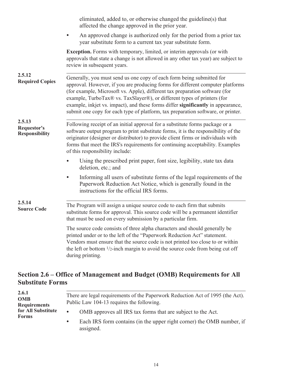<span id="page-15-0"></span>

|                                                       | eliminated, added to, or otherwise changed the guideline(s) that<br>affected the change approved in the prior year.                                                                                                                                                                                                                                                                                                                                                                       |
|-------------------------------------------------------|-------------------------------------------------------------------------------------------------------------------------------------------------------------------------------------------------------------------------------------------------------------------------------------------------------------------------------------------------------------------------------------------------------------------------------------------------------------------------------------------|
|                                                       | An approved change is authorized only for the period from a prior tax<br>year substitute form to a current tax year substitute form.                                                                                                                                                                                                                                                                                                                                                      |
|                                                       | <b>Exception.</b> Forms with temporary, limited, or interim approvals (or with<br>approvals that state a change is not allowed in any other tax year) are subject to<br>review in subsequent years.                                                                                                                                                                                                                                                                                       |
| 2.5.12<br><b>Required Copies</b>                      | Generally, you must send us one copy of each form being submitted for<br>approval. However, if you are producing forms for different computer platforms<br>(for example, Microsoft vs. Apple), different tax preparation software (for<br>example, TurboTax® vs. TaxSlayer®), or different types of printers (for<br>example, inkjet vs. impact), and these forms differ significantly in appearance,<br>submit one copy for each type of platform, tax preparation software, or printer. |
| 2.5.13<br><b>Requestor's</b><br><b>Responsibility</b> | Following receipt of an initial approval for a substitute forms package or a<br>software output program to print substitute forms, it is the responsibility of the<br>originator (designer or distributor) to provide client firms or individuals with<br>forms that meet the IRS's requirements for continuing acceptability. Examples<br>of this responsibility include:                                                                                                                |
|                                                       | Using the prescribed print paper, font size, legibility, state tax data<br>deletion, etc.; and                                                                                                                                                                                                                                                                                                                                                                                            |
|                                                       | Informing all users of substitute forms of the legal requirements of the<br>$\bullet$<br>Paperwork Reduction Act Notice, which is generally found in the<br>instructions for the official IRS forms.                                                                                                                                                                                                                                                                                      |
| 2.5.14<br><b>Source Code</b>                          | The Program will assign a unique source code to each firm that submits<br>substitute forms for approval. This source code will be a permanent identifier<br>that must be used on every submission by a particular firm.                                                                                                                                                                                                                                                                   |
|                                                       | The source code consists of three alpha characters and should generally be<br>printed under or to the left of the "Paperwork Reduction Act" statement.<br>Vendors must ensure that the source code is not printed too close to or within<br>the left or bottom $\frac{1}{2}$ -inch margin to avoid the source code from being cut off<br>during printing.                                                                                                                                 |

# **Section 2.6 – Office of Management and Budget (OMB) Requirements for All Substitute Forms**

| 2.6.1<br><b>OMB</b><br><b>Requirements</b> | There are legal requirements of the Paperwork Reduction Act of 1995 (the Act).<br>Public Law 104-13 requires the following. |
|--------------------------------------------|-----------------------------------------------------------------------------------------------------------------------------|
| for All Substitute<br><b>Forms</b>         | OMB approves all IRS tax forms that are subject to the Act.<br>$\bullet$                                                    |
|                                            | Each IRS form contains (in the upper right corner) the OMB number, if<br>$\bullet$<br>assigned.                             |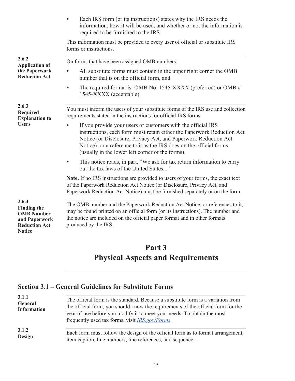<span id="page-16-0"></span>

|                                                                                                            | Each IRS form (or its instructions) states why the IRS needs the<br>information, how it will be used, and whether or not the information is<br>required to be furnished to the IRS.                                                                                                                                                  |
|------------------------------------------------------------------------------------------------------------|--------------------------------------------------------------------------------------------------------------------------------------------------------------------------------------------------------------------------------------------------------------------------------------------------------------------------------------|
|                                                                                                            | This information must be provided to every user of official or substitute IRS<br>forms or instructions.                                                                                                                                                                                                                              |
| 2.6.2<br><b>Application of</b><br>the Paperwork<br><b>Reduction Act</b>                                    | On forms that have been assigned OMB numbers:                                                                                                                                                                                                                                                                                        |
|                                                                                                            | All substitute forms must contain in the upper right corner the OMB<br>number that is on the official form, and                                                                                                                                                                                                                      |
|                                                                                                            | The required format is: OMB No. 1545-XXXX (preferred) or OMB $#$<br>$\bullet$<br>1545-XXXX (acceptable).                                                                                                                                                                                                                             |
| 2.6.3<br><b>Required</b><br><b>Explanation to</b><br><b>Users</b>                                          | You must inform the users of your substitute forms of the IRS use and collection<br>requirements stated in the instructions for official IRS forms.                                                                                                                                                                                  |
|                                                                                                            | If you provide your users or customers with the official IRS<br>instructions, each form must retain either the Paperwork Reduction Act<br>Notice (or Disclosure, Privacy Act, and Paperwork Reduction Act<br>Notice), or a reference to it as the IRS does on the official forms<br>(usually in the lower left corner of the forms). |
|                                                                                                            | This notice reads, in part, "We ask for tax return information to carry<br>out the tax laws of the United States"                                                                                                                                                                                                                    |
|                                                                                                            | Note. If no IRS instructions are provided to users of your forms, the exact text<br>of the Paperwork Reduction Act Notice (or Disclosure, Privacy Act, and<br>Paperwork Reduction Act Notice) must be furnished separately or on the form.                                                                                           |
| 2.6.4<br><b>Finding the</b><br><b>OMB</b> Number<br>and Paperwork<br><b>Reduction Act</b><br><b>Notice</b> | The OMB number and the Paperwork Reduction Act Notice, or references to it,<br>may be found printed on an official form (or its instructions). The number and<br>the notice are included on the official paper format and in other formats<br>produced by the IRS.                                                                   |

# **Part 3 Physical Aspects and Requirements**

# **Section 3.1 – General Guidelines for Substitute Forms**

| 3.1.1<br>General<br><b>Information</b> | The official form is the standard. Because a substitute form is a variation from<br>the official form, you should know the requirements of the official form for the<br>year of use before you modify it to meet your needs. To obtain the most<br>frequently used tax forms, visit <i>IRS.gov/Forms</i> . |
|----------------------------------------|------------------------------------------------------------------------------------------------------------------------------------------------------------------------------------------------------------------------------------------------------------------------------------------------------------|
| 3.1.2                                  | Each form must follow the design of the official form as to format arrangement,                                                                                                                                                                                                                            |
| <b>Design</b>                          | item caption, line numbers, line references, and sequence.                                                                                                                                                                                                                                                 |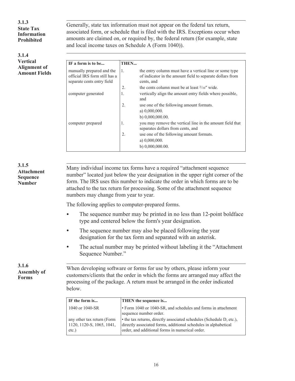**3.1.3 State Tax Information Prohibited**

**3.1.4 Vertical Alignment of Amount Fields** .

. Generally, state tax information must not appear on the federal tax return, associated form, or schedule that is filed with the IRS. Exceptions occur when amounts are claimed on, or required by, the federal return (for example, state and local income taxes on Schedule A (Form 1040)).

| IF a form is to be                                                                       | THEN           |                                                                                                                                    |
|------------------------------------------------------------------------------------------|----------------|------------------------------------------------------------------------------------------------------------------------------------|
| manually prepared and the<br>official IRS form still has a<br>separate cents entry field | $\mathbf{1}$ . | the entry column must have a vertical line or some type<br>of indicator in the amount field to separate dollars from<br>cents, and |
|                                                                                          | 2.             | the cents column must be at least $3/10''$ wide.                                                                                   |
| computer generated                                                                       | 1.             | vertically align the amount entry fields where possible,<br>and                                                                    |
|                                                                                          | 2.             | use one of the following amount formats.                                                                                           |
|                                                                                          |                | a) $0,000,000$ .                                                                                                                   |
|                                                                                          |                | b) $0,000,000,00$ .                                                                                                                |
| computer prepared                                                                        | 1.             | you may remove the vertical line in the amount field that<br>separates dollars from cents, and                                     |
|                                                                                          | 2.             | use one of the following amount formats.                                                                                           |
|                                                                                          |                | a) $0,000,000$ .                                                                                                                   |
|                                                                                          |                | b) $0,000,000.00$ .                                                                                                                |

#### **3.1.5 Attachment Sequence Number**

.Many individual income tax forms have a required "attachment sequence number" located just below the year designation in the upper right corner of the form. The IRS uses this number to indicate the order in which forms are to be attached to the tax return for processing. Some of the attachment sequence numbers may change from year to year.

The following applies to computer-prepared forms.

- The sequence number may be printed in no less than 12-point boldface type and centered below the form's year designation.
- The sequence number may also be placed following the year designation for the tax form and separated with an asterisk.
- The actual number may be printed without labeling it the "Attachment" Sequence Number."

**3.1.6 Assembly of Forms**

.When developing software or forms for use by others, please inform your customers/clients that the order in which the forms are arranged may affect the processing of the package. A return must be arranged in the order indicated below.

| IF the form is                                                      | <b>THEN</b> the sequence is                                                                                                                                                                |
|---------------------------------------------------------------------|--------------------------------------------------------------------------------------------------------------------------------------------------------------------------------------------|
| 1040 or 1040-SR                                                     | Form 1040 or 1040-SR, and schedules and forms in attachment<br>sequence number order.                                                                                                      |
| any other tax return (Form<br>1120, 1120-S, 1065, 1041,<br>$etc.$ ) | • the tax returns, directly associated schedules (Schedule D, etc.),<br>directly associated forms, additional schedules in alphabetical<br>order, and additional forms in numerical order. |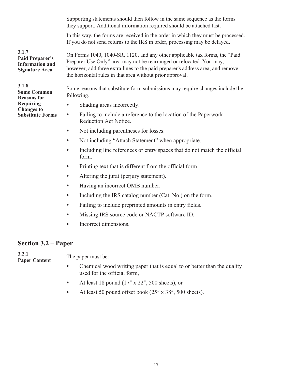<span id="page-18-0"></span>Supporting statements should then follow in the same sequence as the forms they support. Additional information required should be attached last. In this way, the forms are received in the order in which they must be processed. If you do not send returns to the IRS in order, processing may be delayed. . On Forms 1040, 1040-SR, 1120, and any other applicable tax forms, the "Paid Preparer Use Only" area may not be rearranged or relocated. You may, however, add three extra lines to the paid preparer's address area, and remove the horizontal rules in that area without prior approval. . Some reasons that substitute form submissions may require changes include the following. • Shading areas incorrectly. • Failing to include a reference to the location of the Paperwork Reduction Act Notice. • Not including parentheses for losses. • Not including "Attach Statement" when appropriate. • Including line references or entry spaces that do not match the official form. • Printing text that is different from the official form. • Altering the jurat (perjury statement). • Having an incorrect OMB number. • Including the IRS catalog number (Cat. No.) on the form. • Failing to include preprinted amounts in entry fields. • Missing IRS source code or NACTP software ID. • Incorrect dimensions. **3.1.7 Paid Preparer's Information and Signature Area 3.1.8 Some Common Reasons for Requiring Changes to Substitute Forms**

#### **Section 3.2 – Paper**

| 3.2.1<br><b>Paper Content</b> | The paper must be:                                                                                     |
|-------------------------------|--------------------------------------------------------------------------------------------------------|
|                               | Chemical wood writing paper that is equal to or better than the quality<br>used for the official form, |
|                               | At least 18 pound $(17'' \times 22''$ , 500 sheets), or                                                |

• At least 50 pound offset book (25" x 38", 500 sheets).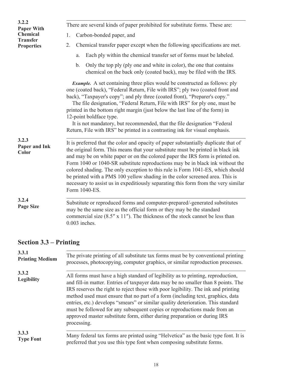<span id="page-19-0"></span>

| 3.2.2<br><b>Paper With</b>           | There are several kinds of paper prohibited for substitute forms. These are:                                                                                                                                                                                                                                                                                                                                                                                                                                                                                                                                      |
|--------------------------------------|-------------------------------------------------------------------------------------------------------------------------------------------------------------------------------------------------------------------------------------------------------------------------------------------------------------------------------------------------------------------------------------------------------------------------------------------------------------------------------------------------------------------------------------------------------------------------------------------------------------------|
| <b>Chemical</b>                      | Carbon-bonded paper, and<br>1.                                                                                                                                                                                                                                                                                                                                                                                                                                                                                                                                                                                    |
| <b>Transfer</b><br><b>Properties</b> | Chemical transfer paper except when the following specifications are met.<br>2.                                                                                                                                                                                                                                                                                                                                                                                                                                                                                                                                   |
|                                      | Each ply within the chemical transfer set of forms must be labeled.<br>a.                                                                                                                                                                                                                                                                                                                                                                                                                                                                                                                                         |
|                                      | Only the top ply (ply one and white in color), the one that contains<br>b.<br>chemical on the back only (coated back), may be filed with the IRS.                                                                                                                                                                                                                                                                                                                                                                                                                                                                 |
|                                      | <i>Example.</i> A set containing three plies would be constructed as follows: ply<br>one (coated back), "Federal Return, File with IRS"; ply two (coated front and<br>back), "Taxpayer's copy"; and ply three (coated front), "Preparer's copy."<br>The file designation, "Federal Return, File with IRS" for ply one, must be<br>printed in the bottom right margin (just below the last line of the form) in<br>12-point boldface type.<br>It is not mandatory, but recommended, that the file designation "Federal"<br>Return, File with IRS" be printed in a contrasting ink for visual emphasis.             |
| 3.2.3<br>Paper and Ink<br>Color      | It is preferred that the color and opacity of paper substantially duplicate that of<br>the original form. This means that your substitute must be printed in black ink<br>and may be on white paper or on the colored paper the IRS form is printed on.<br>Form 1040 or 1040-SR substitute reproductions may be in black ink without the<br>colored shading. The only exception to this rule is Form 1041-ES, which should<br>be printed with a PMS 100 yellow shading in the color screened area. This is<br>necessary to assist us in expeditiously separating this form from the very similar<br>Form 1040-ES. |
| 3.2.4<br><b>Page Size</b>            | Substitute or reproduced forms and computer-prepared/-generated substitutes<br>may be the same size as the official form or they may be the standard<br>commercial size $(8.5'' \times 11'')$ . The thickness of the stock cannot be less than<br>$0.003$ inches.                                                                                                                                                                                                                                                                                                                                                 |

# **Section 3.3 – Printing**

| 3.3.1                      | The private printing of all substitute tax forms must be by conventional printing                                                                                                                                                                                                                                                                                                                                                                                                                                                                                                                      |
|----------------------------|--------------------------------------------------------------------------------------------------------------------------------------------------------------------------------------------------------------------------------------------------------------------------------------------------------------------------------------------------------------------------------------------------------------------------------------------------------------------------------------------------------------------------------------------------------------------------------------------------------|
| <b>Printing Medium</b>     | processes, photocopying, computer graphics, or similar reproduction processes.                                                                                                                                                                                                                                                                                                                                                                                                                                                                                                                         |
| 3.3.2<br><b>Legibility</b> | All forms must have a high standard of legibility as to printing, reproduction,<br>and fill-in matter. Entries of taxpayer data may be no smaller than 8 points. The<br>IRS reserves the right to reject those with poor legibility. The ink and printing<br>method used must ensure that no part of a form (including text, graphics, data<br>entries, etc.) develops "smears" or similar quality deterioration. This standard<br>must be followed for any subsequent copies or reproductions made from an<br>approved master substitute form, either during preparation or during IRS<br>processing. |
| 3.3.3                      | Many federal tax forms are printed using "Helvetica" as the basic type font. It is                                                                                                                                                                                                                                                                                                                                                                                                                                                                                                                     |
| <b>Type Font</b>           | preferred that you use this type font when composing substitute forms.                                                                                                                                                                                                                                                                                                                                                                                                                                                                                                                                 |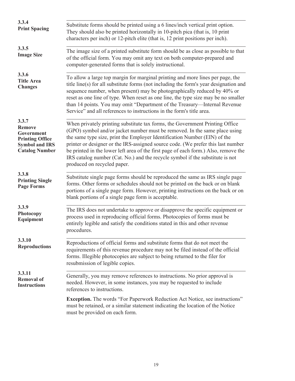| 3.3.4<br><b>Print Spacing</b>                                                                                    | Substitute forms should be printed using a 6 lines/inch vertical print option.<br>They should also be printed horizontally in 10-pitch pica (that is, 10 print<br>characters per inch) or 12-pitch elite (that is, 12 print positions per inch).                                                                                                                                                                                                                                                                                   |
|------------------------------------------------------------------------------------------------------------------|------------------------------------------------------------------------------------------------------------------------------------------------------------------------------------------------------------------------------------------------------------------------------------------------------------------------------------------------------------------------------------------------------------------------------------------------------------------------------------------------------------------------------------|
| 3.3.5<br><b>Image Size</b>                                                                                       | The image size of a printed substitute form should be as close as possible to that<br>of the official form. You may omit any text on both computer-prepared and<br>computer-generated forms that is solely instructional.                                                                                                                                                                                                                                                                                                          |
| 3.3.6<br><b>Title Area</b><br><b>Changes</b>                                                                     | To allow a large top margin for marginal printing and more lines per page, the<br>title line(s) for all substitute forms (not including the form's year designation and<br>sequence number, when present) may be photographically reduced by 40% or<br>reset as one line of type. When reset as one line, the type size may be no smaller<br>than 14 points. You may omit "Department of the Treasury-Internal Revenue<br>Service" and all references to instructions in the form's title area.                                    |
| 3.3.7<br><b>Remove</b><br>Government<br><b>Printing Office</b><br><b>Symbol and IRS</b><br><b>Catalog Number</b> | When privately printing substitute tax forms, the Government Printing Office<br>(GPO) symbol and/or jacket number must be removed. In the same place using<br>the same type size, print the Employer Identification Number (EIN) of the<br>printer or designer or the IRS-assigned source code. (We prefer this last number<br>be printed in the lower left area of the first page of each form.) Also, remove the<br>IRS catalog number (Cat. No.) and the recycle symbol if the substitute is not<br>produced on recycled paper. |
| 3.3.8<br><b>Printing Single</b><br><b>Page Forms</b>                                                             | Substitute single page forms should be reproduced the same as IRS single page<br>forms. Other forms or schedules should not be printed on the back or on blank<br>portions of a single page form. However, printing instructions on the back or on<br>blank portions of a single page form is acceptable.                                                                                                                                                                                                                          |
| 3.3.9<br>Photocopy<br>Equipment                                                                                  | The IRS does not undertake to approve or disapprove the specific equipment or<br>process used in reproducing official forms. Photocopies of forms must be<br>entirely legible and satisfy the conditions stated in this and other revenue<br>procedures.                                                                                                                                                                                                                                                                           |
| 3.3.10<br><b>Reproductions</b>                                                                                   | Reproductions of official forms and substitute forms that do not meet the<br>requirements of this revenue procedure may not be filed instead of the official<br>forms. Illegible photocopies are subject to being returned to the filer for<br>resubmission of legible copies.                                                                                                                                                                                                                                                     |
| 3.3.11<br><b>Removal of</b><br><b>Instructions</b>                                                               | Generally, you may remove references to instructions. No prior approval is<br>needed. However, in some instances, you may be requested to include<br>references to instructions.                                                                                                                                                                                                                                                                                                                                                   |
|                                                                                                                  | <b>Exception.</b> The words "For Paperwork Reduction Act Notice, see instructions"<br>must be retained, or a similar statement indicating the location of the Notice<br>must be provided on each form.                                                                                                                                                                                                                                                                                                                             |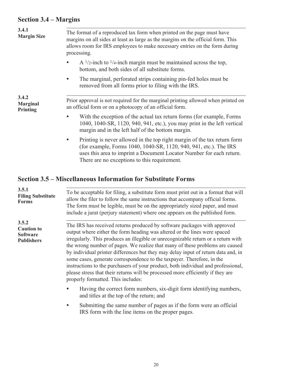# <span id="page-21-0"></span>**Section 3.4 – Margins**

| 3.4.1<br><b>Margin Size</b>          | The format of a reproduced tax form when printed on the page must have<br>margins on all sides at least as large as the margins on the official form. This<br>allows room for IRS employees to make necessary entries on the form during<br>processing. |
|--------------------------------------|---------------------------------------------------------------------------------------------------------------------------------------------------------------------------------------------------------------------------------------------------------|
|                                      | A $\frac{1}{2}$ -inch to $\frac{1}{4}$ -inch margin must be maintained across the top,<br>$\bullet$<br>bottom, and both sides of all substitute forms.                                                                                                  |
|                                      | The marginal, perforated strips containing pin-fed holes must be<br>$\bullet$<br>removed from all forms prior to filing with the IRS.                                                                                                                   |
| 3.4.2<br><b>Marginal</b><br>Printing | Prior approval is not required for the marginal printing allowed when printed on<br>an official form or on a photocopy of an official form.                                                                                                             |
|                                      | With the exception of the actual tax return forms (for example, Forms<br>$\bullet$<br>1040, 1040-SR, 1120, 940, 941, etc.), you may print in the left vertical<br>margin and in the left half of the bottom margin.                                     |
|                                      | Printing is never allowed in the top right margin of the tax return form<br>(for example, Forms 1040, 1040-SR, 1120, 940, 941, etc.). The IRS<br>uses this area to imprint a Document Locator Number for each return.                                   |

There are no exceptions to this requirement.

# **Section 3.5 – Miscellaneous Information for Substitute Forms**

| 3.5.1<br><b>Filing Substitute</b><br><b>Forms</b>                  | To be acceptable for filing, a substitute form must print out in a format that will<br>allow the filer to follow the same instructions that accompany official forms.<br>The form must be legible, must be on the appropriately sized paper, and must<br>include a jurat (perjury statement) where one appears on the published form.                                                                                                                                                                                                                                                                                                                                                                   |
|--------------------------------------------------------------------|---------------------------------------------------------------------------------------------------------------------------------------------------------------------------------------------------------------------------------------------------------------------------------------------------------------------------------------------------------------------------------------------------------------------------------------------------------------------------------------------------------------------------------------------------------------------------------------------------------------------------------------------------------------------------------------------------------|
| 3.5.2<br><b>Caution to</b><br><b>Software</b><br><b>Publishers</b> | The IRS has received returns produced by software packages with approved<br>output where either the form heading was altered or the lines were spaced<br>irregularly. This produces an illegible or unrecognizable return or a return with<br>the wrong number of pages. We realize that many of these problems are caused<br>by individual printer differences but they may delay input of return data and, in<br>some cases, generate correspondence to the taxpayer. Therefore, in the<br>instructions to the purchasers of your product, both individual and professional,<br>please stress that their returns will be processed more efficiently if they are<br>properly formatted. This includes: |
|                                                                    | Having the correct form numbers, six-digit form identifying numbers,<br>and titles at the top of the return; and                                                                                                                                                                                                                                                                                                                                                                                                                                                                                                                                                                                        |
|                                                                    | Submitting the same number of pages as if the form were an official<br>IRS form with the line items on the proper pages.                                                                                                                                                                                                                                                                                                                                                                                                                                                                                                                                                                                |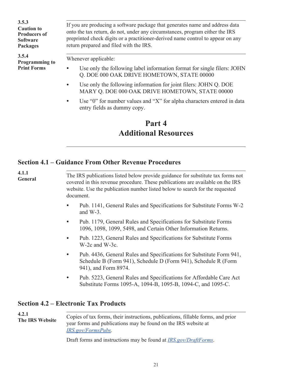<span id="page-22-0"></span>

| 3.5.3<br><b>Caution to</b><br><b>Producers of</b><br><b>Software</b><br><b>Packages</b> | If you are producing a software package that generates name and address data<br>onto the tax return, do not, under any circumstances, program either the IRS<br>preprinted check digits or a practitioner-derived name control to appear on any<br>return prepared and filed with the IRS. |
|-----------------------------------------------------------------------------------------|--------------------------------------------------------------------------------------------------------------------------------------------------------------------------------------------------------------------------------------------------------------------------------------------|
| 3.5.4<br><b>Programming to</b><br><b>Print Forms</b>                                    | Whenever applicable:<br>Use only the following label information format for single filers: JOHN<br>Q. DOE 000 OAK DRIVE HOMETOWN, STATE 00000                                                                                                                                              |
|                                                                                         | Use only the following information for joint filers: JOHN Q. DOE<br>$\bullet$<br>MARY Q. DOE 000 OAK DRIVE HOMETOWN, STATE 00000                                                                                                                                                           |
|                                                                                         | Use "0" for number values and "X" for alpha characters entered in data<br>$\bullet$<br>entry fields as dummy copy.                                                                                                                                                                         |

# **Part 4 Additional Resources**

# **Section 4.1 – Guidance From Other Revenue Procedures**

| 4.1.1<br>General | The IRS publications listed below provide guidance for substitute tax forms not<br>covered in this revenue procedure. These publications are available on the IRS<br>website. Use the publication number listed below to search for the requested<br>document. |
|------------------|----------------------------------------------------------------------------------------------------------------------------------------------------------------------------------------------------------------------------------------------------------------|
|                  | Pub. 1141, General Rules and Specifications for Substitute Forms W-2<br>and $W-3$ .                                                                                                                                                                            |
|                  | Pub. 1179, General Rules and Specifications for Substitute Forms<br>$\bullet$<br>1096, 1098, 1099, 5498, and Certain Other Information Returns.                                                                                                                |
|                  | Pub. 1223, General Rules and Specifications for Substitute Forms<br>$\bullet$<br>$W-2c$ and $W-3c$ .                                                                                                                                                           |
|                  | Pub. 4436, General Rules and Specifications for Substitute Form 941,<br>$\bullet$<br>Schedule B (Form 941), Schedule D (Form 941), Schedule R (Form<br>941), and Form 8974.                                                                                    |
|                  | Pub. 5223, General Rules and Specifications for Affordable Care Act<br>$\bullet$<br>Substitute Forms 1095-A, 1094-B, 1095-B, 1094-C, and 1095-C.                                                                                                               |
|                  |                                                                                                                                                                                                                                                                |

#### **Section 4.2 – Electronic Tax Products**

. Copies of tax forms, their instructions, publications, fillable forms, and prior year forms and publications may be found on the IRS website at *[IRS.gov/FormsPubs](https://www.irs.gov/formspubs)*. **4.2.1 The IRS Website**

Draft forms and instructions may be found at *[IRS.gov/DraftForms](https://www.irs.gov/draftforms)*.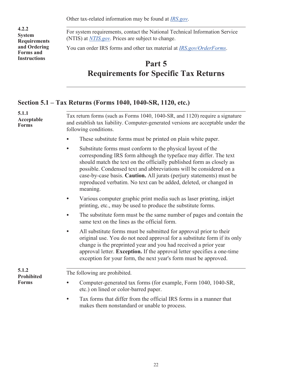Other tax-related information may be found at *[IRS.gov](https://www.irs.gov)*.

<span id="page-23-0"></span>**4.2.2 System Requirements and Ordering Forms and Instructions**

. For system requirements, contact the National Technical Information Service (NTIS) at *[NTIS.gov](https://www.ntis.gov)*. Prices are subject to change.

You can order IRS forms and other tax material at *[IRS.gov/OrderForms](https://www.irs.gov/orderforms)*.

# **Part 5 Requirements for Specific Tax Returns**

## **Section 5.1 – Tax Returns (Forms 1040, 1040-SR, 1120, etc.)**

| 5.1.1<br>Acceptable<br><b>Forms</b>        |                                                                                                                                                                                                                                                                                                                                                                                                                                                      |
|--------------------------------------------|------------------------------------------------------------------------------------------------------------------------------------------------------------------------------------------------------------------------------------------------------------------------------------------------------------------------------------------------------------------------------------------------------------------------------------------------------|
|                                            | Tax return forms (such as Forms 1040, 1040-SR, and 1120) require a signature<br>and establish tax liability. Computer-generated versions are acceptable under the<br>following conditions.                                                                                                                                                                                                                                                           |
|                                            | These substitute forms must be printed on plain white paper.                                                                                                                                                                                                                                                                                                                                                                                         |
|                                            | Substitute forms must conform to the physical layout of the<br>$\bullet$<br>corresponding IRS form although the typeface may differ. The text<br>should match the text on the officially published form as closely as<br>possible. Condensed text and abbreviations will be considered on a<br>case-by-case basis. Caution. All jurats (perjury statements) must be<br>reproduced verbatim. No text can be added, deleted, or changed in<br>meaning. |
|                                            | Various computer graphic print media such as laser printing, inkjet<br>printing, etc., may be used to produce the substitute forms.                                                                                                                                                                                                                                                                                                                  |
|                                            | The substitute form must be the same number of pages and contain the<br>same text on the lines as the official form.                                                                                                                                                                                                                                                                                                                                 |
|                                            | All substitute forms must be submitted for approval prior to their<br>$\bullet$<br>original use. You do not need approval for a substitute form if its only<br>change is the preprinted year and you had received a prior year<br>approval letter. Exception. If the approval letter specifies a one-time<br>exception for your form, the next year's form must be approved.                                                                         |
| 5.1.2<br><b>Prohibited</b><br><b>Forms</b> | The following are prohibited.                                                                                                                                                                                                                                                                                                                                                                                                                        |
|                                            | Computer-generated tax forms (for example, Form 1040, 1040-SR,<br>etc.) on lined or color-barred paper.                                                                                                                                                                                                                                                                                                                                              |
|                                            | Tax forms that differ from the official IRS forms in a manner that<br>$\bullet$<br>makes them nonstandard or unable to process.                                                                                                                                                                                                                                                                                                                      |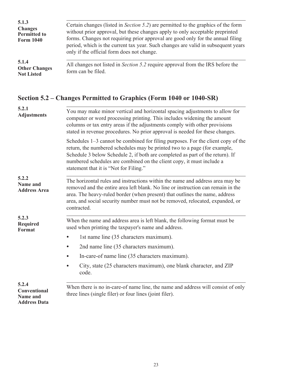<span id="page-24-0"></span>

| 5.1.3<br><b>Changes</b><br><b>Permitted to</b><br><b>Form 1040</b> | Certain changes (listed in <i>Section 5.2</i> ) are permitted to the graphics of the form<br>without prior approval, but these changes apply to only acceptable preprinted<br>forms. Changes not requiring prior approval are good only for the annual filing<br>period, which is the current tax year. Such changes are valid in subsequent years<br>only if the official form does not change. |
|--------------------------------------------------------------------|--------------------------------------------------------------------------------------------------------------------------------------------------------------------------------------------------------------------------------------------------------------------------------------------------------------------------------------------------------------------------------------------------|
| 5.1.4<br><b>Other Changes</b><br><b>Not Listed</b>                 | All changes not listed in <i>Section</i> 5.2 require approval from the IRS before the<br>form can be filed.                                                                                                                                                                                                                                                                                      |

# **Section 5.2 – Changes Permitted to Graphics (Form 1040 or 1040-SR)**

| 5.2.1<br><b>Adjustments</b>                                     | You may make minor vertical and horizontal spacing adjustments to allow for<br>computer or word processing printing. This includes widening the amount<br>columns or tax entry areas if the adjustments comply with other provisions<br>stated in revenue procedures. No prior approval is needed for these changes.                                              |
|-----------------------------------------------------------------|-------------------------------------------------------------------------------------------------------------------------------------------------------------------------------------------------------------------------------------------------------------------------------------------------------------------------------------------------------------------|
|                                                                 | Schedules 1–3 cannot be combined for filing purposes. For the client copy of the<br>return, the numbered schedules may be printed two to a page (for example,<br>Schedule 3 below Schedule 2, if both are completed as part of the return). If<br>numbered schedules are combined on the client copy, it must include a<br>statement that it is "Not for Filing." |
| 5.2.2<br><b>Name and</b><br><b>Address Area</b>                 | The horizontal rules and instructions within the name and address area may be<br>removed and the entire area left blank. No line or instruction can remain in the<br>area. The heavy-ruled border (when present) that outlines the name, address<br>area, and social security number must not be removed, relocated, expanded, or<br>contracted.                  |
| 5.2.3<br><b>Required</b><br><b>Format</b>                       | When the name and address area is left blank, the following format must be<br>used when printing the taxpayer's name and address.                                                                                                                                                                                                                                 |
|                                                                 | 1st name line (35 characters maximum).                                                                                                                                                                                                                                                                                                                            |
|                                                                 | 2nd name line (35 characters maximum).<br>$\bullet$                                                                                                                                                                                                                                                                                                               |
|                                                                 | In-care-of name line (35 characters maximum).<br>$\bullet$                                                                                                                                                                                                                                                                                                        |
|                                                                 | City, state (25 characters maximum), one blank character, and ZIP<br>code.                                                                                                                                                                                                                                                                                        |
| 5.2.4<br>Conventional<br><b>Name and</b><br><b>Address Data</b> | When there is no in-care-of name line, the name and address will consist of only<br>three lines (single filer) or four lines (joint filer).                                                                                                                                                                                                                       |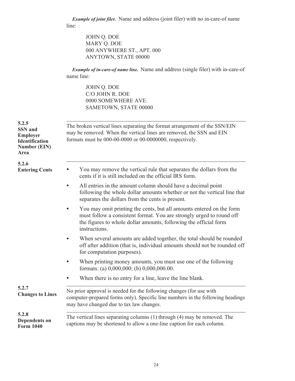*Example of joint filer.* Name and address (joint filer) with no in-care-of name line:

JOHN Q. DOE MARY Q. DOE 000 ANYWHERE ST., APT. 000 ANYTOWN, STATE 00000

*Example of in-care-of name line.* Name and address (single filer) with in-care-of name line:

> JOHN Q. DOE C/O JOHN R. DOE 0000 SOMEWHERE AVE. SAMETOWN, STATE 00000

| 5.2.5<br><b>SSN</b> and<br><b>Employer</b><br><b>Identification</b><br><b>Number (EIN)</b><br>Area | The broken vertical lines separating the format arrangement of the SSN/EIN<br>may be removed. When the vertical lines are removed, the SSN and EIN<br>formats must be 000-00-0000 or 00-0000000, respectively.                                 |
|----------------------------------------------------------------------------------------------------|------------------------------------------------------------------------------------------------------------------------------------------------------------------------------------------------------------------------------------------------|
| 5.2.6<br><b>Entering Cents</b>                                                                     | You may remove the vertical rule that separates the dollars from the<br>cents if it is still included on the official IRS form.                                                                                                                |
|                                                                                                    | All entries in the amount column should have a decimal point<br>$\bullet$<br>following the whole dollar amounts whether or not the vertical line that<br>separates the dollars from the cents is present.                                      |
|                                                                                                    | You may omit printing the cents, but all amounts entered on the form<br>$\bullet$<br>must follow a consistent format. You are strongly urged to round off<br>the figures to whole dollar amounts, following the official form<br>instructions. |
|                                                                                                    | When several amounts are added together, the total should be rounded<br>off after addition (that is, individual amounts should not be rounded off<br>for computation purposes).                                                                |
|                                                                                                    | When printing money amounts, you must use one of the following<br>formats: (a) $0,000,000$ ; (b) $0,000,000.00$ .                                                                                                                              |
|                                                                                                    | When there is no entry for a line, leave the line blank.                                                                                                                                                                                       |
| 5.2.7<br><b>Changes to Lines</b>                                                                   | No prior approval is needed for the following changes (for use with<br>computer-prepared forms only). Specific line numbers in the following headings<br>may have changed due to tax law changes.                                              |
| 5.2.8<br><b>Dependents on</b><br><b>Form 1040</b>                                                  | The vertical lines separating columns (1) through (4) may be removed. The<br>captions may be shortened to allow a one-line caption for each column.                                                                                            |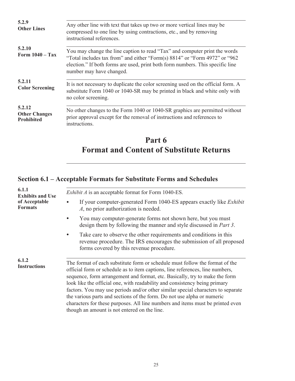<span id="page-26-0"></span>

| 5.2.9<br><b>Other Lines</b>                         | Any other line with text that takes up two or more vertical lines may be<br>compressed to one line by using contractions, etc., and by removing<br>instructional references.                                                                                           |
|-----------------------------------------------------|------------------------------------------------------------------------------------------------------------------------------------------------------------------------------------------------------------------------------------------------------------------------|
| 5.2.10<br>Form $1040 - Tax$                         | You may change the line caption to read "Tax" and computer print the words<br>"Total includes tax from" and either "Form(s) 8814" or "Form 4972" or "962<br>election." If both forms are used, print both form numbers. This specific line<br>number may have changed. |
| 5.2.11<br><b>Color Screening</b>                    | It is not necessary to duplicate the color screening used on the official form. A<br>substitute Form 1040 or 1040-SR may be printed in black and white only with<br>no color screening.                                                                                |
| 5.2.12<br><b>Other Changes</b><br><b>Prohibited</b> | No other changes to the Form 1040 or 1040-SR graphics are permitted without<br>prior approval except for the removal of instructions and references to<br>instructions.                                                                                                |

# **Part 6 Format and Content of Substitute Returns**

# **Section 6.1 – Acceptable Formats for Substitute Forms and Schedules**

| 6.1.1<br><b>Exhibits and Use</b> | <i>Exhibit A</i> is an acceptable format for Form 1040-ES.                                                                                                                                                                                                                                                                                                                                                                                                                                                                                                                                                                  |  |  |  |  |
|----------------------------------|-----------------------------------------------------------------------------------------------------------------------------------------------------------------------------------------------------------------------------------------------------------------------------------------------------------------------------------------------------------------------------------------------------------------------------------------------------------------------------------------------------------------------------------------------------------------------------------------------------------------------------|--|--|--|--|
| of Acceptable<br><b>Formats</b>  | If your computer-generated Form 1040-ES appears exactly like <i>Exhibit</i><br>A, no prior authorization is needed.                                                                                                                                                                                                                                                                                                                                                                                                                                                                                                         |  |  |  |  |
|                                  | You may computer-generate forms not shown here, but you must<br>design them by following the manner and style discussed in <i>Part 3</i> .                                                                                                                                                                                                                                                                                                                                                                                                                                                                                  |  |  |  |  |
|                                  | Take care to observe the other requirements and conditions in this<br>$\bullet$<br>revenue procedure. The IRS encourages the submission of all proposed<br>forms covered by this revenue procedure.                                                                                                                                                                                                                                                                                                                                                                                                                         |  |  |  |  |
| 6.1.2<br><b>Instructions</b>     | The format of each substitute form or schedule must follow the format of the<br>official form or schedule as to item captions, line references, line numbers,<br>sequence, form arrangement and format, etc. Basically, try to make the form<br>look like the official one, with readability and consistency being primary<br>factors. You may use periods and/or other similar special characters to separate<br>the various parts and sections of the form. Do not use alpha or numeric<br>characters for these purposes. All line numbers and items must be printed even<br>though an amount is not entered on the line. |  |  |  |  |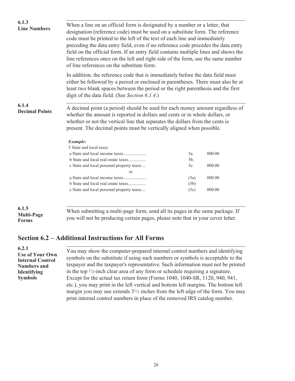<span id="page-27-0"></span>

| 6.1.3<br><b>Line Numbers</b>      | When a line on an official form is designated by a number or a letter, that<br>designation (reference code) must be used on a substitute form. The reference<br>code must be printed to the left of the text of each line and immediately<br>preceding the data entry field, even if no reference code precedes the data entry<br>field on the official form. If an entry field contains multiple lines and shows the<br>line references once on the left and right side of the form, use the same number<br>of line references on the substitute form. |      |        |  |  |
|-----------------------------------|---------------------------------------------------------------------------------------------------------------------------------------------------------------------------------------------------------------------------------------------------------------------------------------------------------------------------------------------------------------------------------------------------------------------------------------------------------------------------------------------------------------------------------------------------------|------|--------|--|--|
|                                   | In addition, the reference code that is immediately before the data field must<br>either be followed by a period or enclosed in parentheses. There must also be at<br>least two blank spaces between the period or the right parenthesis and the first<br>digit of the data field. (See Section 6.1.4.)                                                                                                                                                                                                                                                 |      |        |  |  |
| 6.1.4<br><b>Decimal Points</b>    | A decimal point (a period) should be used for each money amount regardless of<br>whether the amount is reported in dollars and cents or in whole dollars, or<br>whether or not the vertical line that separates the dollars from the cents is<br>present. The decimal points must be vertically aligned when possible.                                                                                                                                                                                                                                  |      |        |  |  |
|                                   | Example:                                                                                                                                                                                                                                                                                                                                                                                                                                                                                                                                                |      |        |  |  |
|                                   | 5 State and local taxes                                                                                                                                                                                                                                                                                                                                                                                                                                                                                                                                 |      |        |  |  |
|                                   |                                                                                                                                                                                                                                                                                                                                                                                                                                                                                                                                                         | 5a.  | 000.00 |  |  |
|                                   | b State and local real estate taxes                                                                                                                                                                                                                                                                                                                                                                                                                                                                                                                     | 5b.  |        |  |  |
|                                   | c State and local personal property taxes                                                                                                                                                                                                                                                                                                                                                                                                                                                                                                               | 5c.  | 000.00 |  |  |
|                                   | <sub>or</sub>                                                                                                                                                                                                                                                                                                                                                                                                                                                                                                                                           |      |        |  |  |
|                                   |                                                                                                                                                                                                                                                                                                                                                                                                                                                                                                                                                         | (5a) | 000.00 |  |  |
|                                   | b State and local real estate taxes                                                                                                                                                                                                                                                                                                                                                                                                                                                                                                                     | (5b) |        |  |  |
|                                   | c State and local personal property taxes                                                                                                                                                                                                                                                                                                                                                                                                                                                                                                               | (5c) | 000.00 |  |  |
| 6.1.5                             |                                                                                                                                                                                                                                                                                                                                                                                                                                                                                                                                                         |      |        |  |  |
| <b>Multi-Page</b><br><b>Forms</b> | When submitting a multi-page form, send all its pages in the same package. If<br>you will not be producing certain pages, please note that in your cover letter.                                                                                                                                                                                                                                                                                                                                                                                        |      |        |  |  |

#### **Section 6.2 – Additional Instructions for All Forms**

**6.2.1 Use of Your Own Internal Control Numbers and Identifying Symbols**

. You may show the computer-prepared internal control numbers and identifying symbols on the substitute if using such numbers or symbols is acceptable to the taxpayer and the taxpayer's representative. Such information must not be printed in the top 1/2-inch clear area of any form or schedule requiring a signature. Except for the actual tax return form (Forms 1040, 1040-SR, 1120, 940, 941, etc.), you may print in the left vertical and bottom left margins. The bottom left margin you may use extends 31/2 inches from the left edge of the form. You may print internal control numbers in place of the removed IRS catalog number.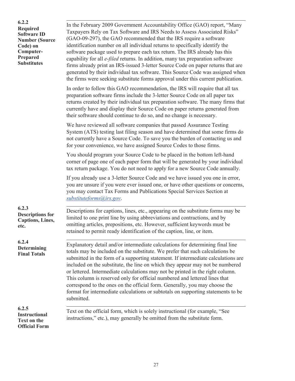**6.2.2 Required Software ID Number (Source Code) on Computer-Prepared Substitutes**

. In the February 2009 Government Accountability Office (GAO) report, "Many Taxpayers Rely on Tax Software and IRS Needs to Assess Associated Risks" (GAO-09-297), the GAO recommended that the IRS require a software identification number on all individual returns to specifically identify the software package used to prepare each tax return. The IRS already has this capability for all *e-filed* returns. In addition, many tax preparation software firms already print an IRS-issued 3-letter Source Code on paper returns that are generated by their individual tax software. This Source Code was assigned when the firms were seeking substitute forms approval under this current publication.

In order to follow this GAO recommendation, the IRS will require that all tax preparation software firms include the 3-letter Source Code on all paper tax returns created by their individual tax preparation software. The many firms that currently have and display their Source Code on paper returns generated from their software should continue to do so, and no change is necessary.

We have reviewed all software companies that passed Assurance Testing System (ATS) testing last filing season and have determined that some firms do not currently have a Source Code. To save you the burden of contacting us and for your convenience, we have assigned Source Codes to those firms.

You should program your Source Code to be placed in the bottom left-hand corner of page one of each paper form that will be generated by your individual tax return package. You do not need to apply for a new Source Code annually.

If you already use a 3-letter Source Code and we have issued you one in error, you are unsure if you were ever issued one, or have other questions or concerns, you may contact Tax Forms and Publications Special Services Section at *[substituteforms@irs.gov](mailto:substituteforms@irs.gov)*.

**6.2.3 Descriptions for Captions, Lines, etc.**

**6.2.4 Determining Final Totals**

. Descriptions for captions, lines, etc., appearing on the substitute forms may be limited to one print line by using abbreviations and contractions, and by omitting articles, prepositions, etc. However, sufficient keywords must be retained to permit ready identification of the caption, line, or item.

. Explanatory detail and/or intermediate calculations for determining final line totals may be included on the substitute. We prefer that such calculations be submitted in the form of a supporting statement. If intermediate calculations are included on the substitute, the line on which they appear may not be numbered or lettered. Intermediate calculations may not be printed in the right column. This column is reserved only for official numbered and lettered lines that correspond to the ones on the official form. Generally, you may choose the format for intermediate calculations or subtotals on supporting statements to be submitted.

#### **6.2.5 Instructional Text on the Official Form**

. Text on the official form, which is solely instructional (for example, "See instructions," etc.), may generally be omitted from the substitute form.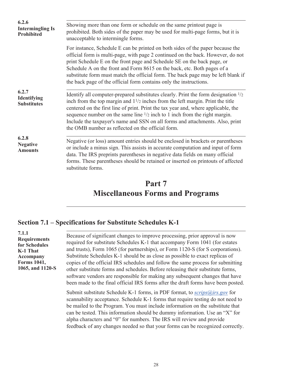<span id="page-29-0"></span>

| 6.2.6<br><b>Intermingling Is</b><br>Prohibited | Showing more than one form or schedule on the same printout page is<br>prohibited. Both sides of the paper may be used for multi-page forms, but it is<br>unacceptable to intermingle forms.                                                                                                                                                                                                                                                                                                                 |  |  |  |
|------------------------------------------------|--------------------------------------------------------------------------------------------------------------------------------------------------------------------------------------------------------------------------------------------------------------------------------------------------------------------------------------------------------------------------------------------------------------------------------------------------------------------------------------------------------------|--|--|--|
|                                                | For instance, Schedule E can be printed on both sides of the paper because the<br>official form is multi-page, with page 2 continued on the back. However, do not<br>print Schedule E on the front page and Schedule SE on the back page, or<br>Schedule A on the front and Form 8615 on the back, etc. Both pages of a<br>substitute form must match the official form. The back page may be left blank if<br>the back page of the official form contains only the instructions.                            |  |  |  |
| 6.2.7<br>Identifying<br><b>Substitutes</b>     | Identify all computer-prepared substitutes clearly. Print the form designation $\frac{1}{2}$<br>inch from the top margin and $1\frac{1}{2}$ inches from the left margin. Print the title<br>centered on the first line of print. Print the tax year and, where applicable, the<br>sequence number on the same line $\frac{1}{2}$ inch to 1 inch from the right margin.<br>Include the taxpayer's name and SSN on all forms and attachments. Also, print<br>the OMB number as reflected on the official form. |  |  |  |
| 6.2.8<br><b>Negative</b><br><b>Amounts</b>     | Negative (or loss) amount entries should be enclosed in brackets or parentheses<br>or include a minus sign. This assists in accurate computation and input of form<br>data. The IRS preprints parentheses in negative data fields on many official<br>forms. These parentheses should be retained or inserted on printouts of affected<br>substitute forms.                                                                                                                                                  |  |  |  |

# **Part 7 Miscellaneous Forms and Programs**

#### **Section 7.1 – Specifications for Substitute Schedules K-1**

**7.1.1 Requirements for Schedules K-1 That Accompany Forms 1041, 1065, and 1120-S**

. Because of significant changes to improve processing, prior approval is now required for substitute Schedules K-1 that accompany Form 1041 (for estates and trusts), Form 1065 (for partnerships), or Form 1120-S (for S corporations). Substitute Schedules K-1 should be as close as possible to exact replicas of copies of the official IRS schedules and follow the same process for submitting other substitute forms and schedules. Before releasing their substitute forms, software vendors are responsible for making any subsequent changes that have been made to the final official IRS forms after the draft forms have been posted.

Submit substitute Schedule K-1 forms, in PDF format, to *[scrips@irs.gov](mailto:scrips@irs.gov)* for scannability acceptance. Schedule K-1 forms that require testing do not need to be mailed to the Program. You must include information on the substitute that can be tested. This information should be dummy information. Use an "X" for alpha characters and "0" for numbers. The IRS will review and provide feedback of any changes needed so that your forms can be recognized correctly.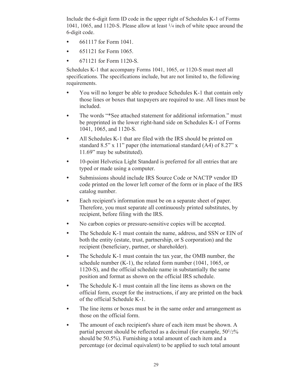Include the 6-digit form ID code in the upper right of Schedules K-1 of Forms 1041, 1065, and 1120-S. Please allow at least 1/4 inch of white space around the 6-digit code.

- 661117 for Form 1041.
- 651121 for Form 1065.
- 671121 for Form 1120-S.

Schedules K-1 that accompany Forms 1041, 1065, or 1120-S must meet all specifications. The specifications include, but are not limited to, the following requirements.

- You will no longer be able to produce Schedules K-1 that contain only those lines or boxes that taxpayers are required to use. All lines must be included.
- The words "\*See attached statement for additional information." must be preprinted in the lower right-hand side on Schedules K-1 of Forms 1041, 1065, and 1120-S.
- All Schedules K-1 that are filed with the IRS should be printed on standard 8.5" x 11" paper (the international standard (A4) of 8.27" x 11.69" may be substituted).
- 10-point Helvetica Light Standard is preferred for all entries that are typed or made using a computer.
- Submissions should include IRS Source Code or NACTP vendor ID code printed on the lower left corner of the form or in place of the IRS catalog number.
- Each recipient's information must be on a separate sheet of paper. Therefore, you must separate all continuously printed substitutes, by recipient, before filing with the IRS.
- No carbon copies or pressure-sensitive copies will be accepted.
- The Schedule K-1 must contain the name, address, and SSN or EIN of both the entity (estate, trust, partnership, or S corporation) and the recipient (beneficiary, partner, or shareholder).
- The Schedule K-1 must contain the tax year, the OMB number, the schedule number (K-1), the related form number (1041, 1065, or 1120-S), and the official schedule name in substantially the same position and format as shown on the official IRS schedule.
- The Schedule K-1 must contain all the line items as shown on the official form, except for the instructions, if any are printed on the back of the official Schedule K-1.
- The line items or boxes must be in the same order and arrangement as those on the official form.
- The amount of each recipient's share of each item must be shown. A partial percent should be reflected as a decimal (for example, 501/2% should be 50.5%). Furnishing a total amount of each item and a percentage (or decimal equivalent) to be applied to such total amount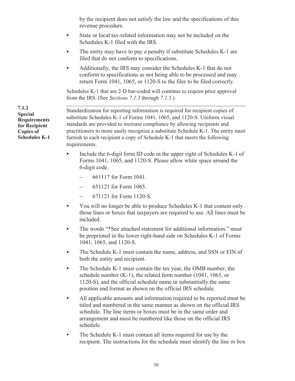by the recipient does not satisfy the law and the specifications of this revenue procedure.

- State or local tax-related information may not be included on the Schedules K-1 filed with the IRS.
- The entity may have to pay a penalty if substitute Schedules K-1 are filed that do not conform to specifications.
- Additionally, the IRS may consider the Schedules K-1 that do not conform to specifications as not being able to be processed and may return Form 1041, 1065, or 1120-S to the filer to be filed correctly.

Schedules K-1 that are 2-D bar-coded will continue to require prior approval from the IRS. (See *Sections 7.1.3* through *7.1.5.*)

. Standardization for reporting information is required for recipient copies of substitute Schedules K-1 of Forms 1041, 1065, and 1120-S. Uniform visual standards are provided to increase compliance by allowing recipients and practitioners to more easily recognize a substitute Schedule K-1. The entity must furnish to each recipient a copy of Schedule K-1 that meets the following requirements.

- Include the 6-digit form ID code in the upper right of Schedules K-1 of Forms 1041, 1065, and 1120-S. Please allow white space around the 6-digit code.
	- 661117 for Form 1041.
	- 651121 for Form 1065.
	- 671121 for Form 1120-S.
- You will no longer be able to produce Schedules K-1 that contain only those lines or boxes that taxpayers are required to use. All lines must be included.
- The words "\*See attached statement for additional information." must be preprinted in the lower right-hand side on Schedules K-1 of Forms 1041, 1065, and 1120-S.
- The Schedule K-1 must contain the name, address, and SSN or EIN of both the entity and recipient.
- The Schedule K-1 must contain the tax year, the OMB number, the schedule number (K-1), the related form number (1041, 1065, or 1120-S), and the official schedule name in substantially the same position and format as shown on the official IRS schedule.
- All applicable amounts and information required to be reported must be titled and numbered in the same manner as shown on the official IRS schedule. The line items or boxes must be in the same order and arrangement and must be numbered like those on the official IRS schedule.
- The Schedule K-1 must contain all items required for use by the recipient. The instructions for the schedule must identify the line or box

**7.1.2 Special Requirements for Recipient Copies of Schedules K-1**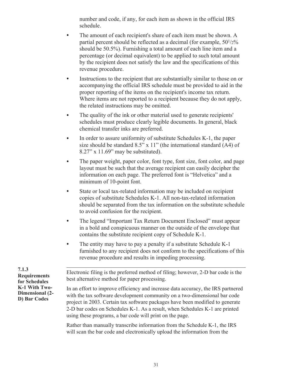number and code, if any, for each item as shown in the official IRS schedule.

- The amount of each recipient's share of each item must be shown. A partial percent should be reflected as a decimal (for example, 501/2% should be 50.5%). Furnishing a total amount of each line item and a percentage (or decimal equivalent) to be applied to such total amount by the recipient does not satisfy the law and the specifications of this revenue procedure.
- Instructions to the recipient that are substantially similar to those on or accompanying the official IRS schedule must be provided to aid in the proper reporting of the items on the recipient's income tax return. Where items are not reported to a recipient because they do not apply, the related instructions may be omitted.
- The quality of the ink or other material used to generate recipients' schedules must produce clearly legible documents. In general, black chemical transfer inks are preferred.
- In order to assure uniformity of substitute Schedules K-1, the paper size should be standard  $8.5$ " x  $11$ " (the international standard  $(A4)$  of 8.27" x 11.69" may be substituted).
- The paper weight, paper color, font type, font size, font color, and page layout must be such that the average recipient can easily decipher the information on each page. The preferred font is "Helvetica" and a minimum of 10-point font.
- State or local tax-related information may be included on recipient copies of substitute Schedules K-1. All non-tax-related information should be separated from the tax information on the substitute schedule to avoid confusion for the recipient.
- The legend "Important Tax Return Document Enclosed" must appear in a bold and conspicuous manner on the outside of the envelope that contains the substitute recipient copy of Schedule K-1.
- The entity may have to pay a penalty if a substitute Schedule K-1 furnished to any recipient does not conform to the specifications of this revenue procedure and results in impeding processing.

**7.1.3 Requirements for Schedules K-1 With Two-Dimensional (2- D) Bar Codes**

. Electronic filing is the preferred method of filing; however, 2-D bar code is the best alternative method for paper processing.

In an effort to improve efficiency and increase data accuracy, the IRS partnered with the tax software development community on a two-dimensional bar code project in 2003. Certain tax software packages have been modified to generate 2-D bar codes on Schedules K-1. As a result, when Schedules K-1 are printed using these programs, a bar code will print on the page.

Rather than manually transcribe information from the Schedule K-1, the IRS will scan the bar code and electronically upload the information from the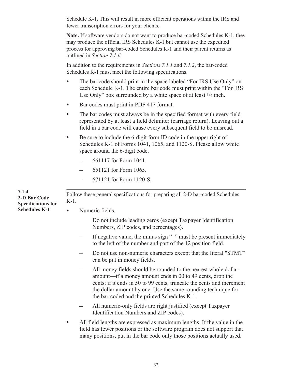Schedule K-1. This will result in more efficient operations within the IRS and fewer transcription errors for your clients.

**Note.** If software vendors do not want to produce bar-coded Schedules K-1, they may produce the official IRS Schedules K-1 but cannot use the expedited process for approving bar-coded Schedules K-1 and their parent returns as outlined in *Section 7.1.6*.

In addition to the requirements in *Sections 7.1.1* and *7.1.2*, the bar-coded Schedules K-1 must meet the following specifications.

- The bar code should print in the space labeled "For IRS Use Only" on each Schedule K-1. The entire bar code must print within the "For IRS Use Only" box surrounded by a white space of at least 1/4 inch.
- Bar codes must print in PDF 417 format.
- The bar codes must always be in the specified format with every field represented by at least a field delimiter (carriage return). Leaving out a field in a bar code will cause every subsequent field to be misread.
- Be sure to include the 6-digit form ID code in the upper right of Schedules K-1 of Forms 1041, 1065, and 1120-S. Please allow white space around the 6-digit code.
	- 661117 for Form 1041.
	- 651121 for Form 1065.
	- 671121 for Form 1120-S.

. Follow these general specifications for preparing all 2-D bar-coded Schedules K-1.

- Numeric fields.
	- Do not include leading zeros (except Taxpayer Identification Numbers, ZIP codes, and percentages).
	- If negative value, the minus sign "–" must be present immediately to the left of the number and part of the 12 position field.
	- Do not use non-numeric characters except that the literal "STMT" can be put in money fields.
	- All money fields should be rounded to the nearest whole dollar amount—if a money amount ends in 00 to 49 cents, drop the cents; if it ends in 50 to 99 cents, truncate the cents and increment the dollar amount by one. Use the same rounding technique for the bar-coded and the printed Schedules K-1.
	- All numeric-only fields are right justified (except Taxpayer Identification Numbers and ZIP codes).
- All field lengths are expressed as maximum lengths. If the value in the field has fewer positions or the software program does not support that many positions, put in the bar code only those positions actually used.

**7.1.4 2-D Bar Code Specifications for Schedules K-1**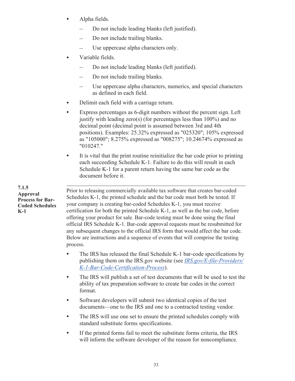- Alpha fields.
	- Do not include leading blanks (left justified).
	- Do not include trailing blanks.
	- Use uppercase alpha characters only.
- Variable fields.
	- Do not include leading blanks (left justified).
	- Do not include trailing blanks.
	- Use uppercase alpha characters, numerics, and special characters as defined in each field.
- Delimit each field with a carriage return.
- Express percentages as 6-digit numbers without the percent sign. Left justify with leading zero(s) (for percentages less than  $100\%$ ) and no decimal point (decimal point is assumed between 3rd and 4th positions). Examples: 25.32% expressed as "025320"; 105% expressed as "105000"; 8.275% expressed as "008275"; 10.24674% expressed as "010247."
- It is vital that the print routine reinitialize the bar code prior to printing each succeeding Schedule K-1. Failure to do this will result in each Schedule K-1 for a parent return having the same bar code as the document before it.

**7.1.5 Approval Process for Bar-Coded Schedules K-1**

. Prior to releasing commercially available tax software that creates bar-coded Schedules K-1, the printed schedule and the bar code must both be tested. If your company is creating bar-coded Schedules K-1, you must receive certification for both the printed Schedule K-1, as well as the bar code, before offering your product for sale. Bar-code testing must be done using the final official IRS Schedule K-1. Bar-code approval requests must be resubmitted for any subsequent changes to the official IRS form that would affect the bar code. Below are instructions and a sequence of events that will comprise the testing process.

- The IRS has released the final Schedule K-1 bar-code specifications by publishing them on the IRS.gov website (see *[IRS.gov/E-file-Providers/](https://www.irs.gov/e-file-providers/k-1-bar-code-certification-process) [K-1-Bar-Code-Certification-Process](https://www.irs.gov/e-file-providers/k-1-bar-code-certification-process)*).
- The IRS will publish a set of test documents that will be used to test the ability of tax preparation software to create bar codes in the correct format.
- Software developers will submit two identical copies of the test documents—one to the IRS and one to a contracted testing vendor.
- The IRS will use one set to ensure the printed schedules comply with standard substitute forms specifications.
- If the printed forms fail to meet the substitute forms criteria, the IRS will inform the software developer of the reason for noncompliance.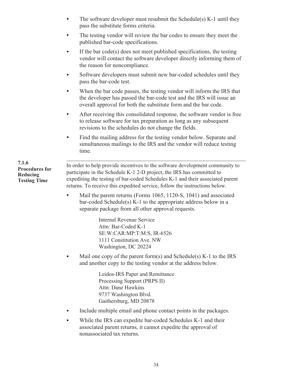- The software developer must resubmit the Schedule(s) K-1 until they pass the substitute forms criteria.
- The testing vendor will review the bar codes to ensure they meet the published bar-code specifications.
- If the bar code(s) does not meet published specifications, the testing vendor will contact the software developer directly informing them of the reason for noncompliance.
- Software developers must submit new bar-coded schedules until they pass the bar-code test.
- When the bar code passes, the testing vendor will inform the IRS that the developer has passed the bar-code test and the IRS will issue an overall approval for both the substitute form and the bar code.
- After receiving this consolidated response, the software vendor is free to release software for tax preparation as long as any subsequent revisions to the schedules do not change the fields.
- Find the mailing address for the testing vendor below. Separate and simultaneous mailings to the IRS and the vendor will reduce testing time.

. In order to help provide incentives to the software development community to participate in the Schedule K-1 2-D project, the IRS has committed to expediting the testing of bar-coded Schedules K-1 and their associated parent returns. To receive this expedited service, follow the instructions below. **Procedures for** 

> Mail the parent returns (Forms 1065, 1120-S, 1041) and associated bar-coded Schedule(s) K-1 to the appropriate address below in a separate package from all other approval requests.

> > Internal Revenue Service Attn: Bar-Coded K-1 SE:W:CAR:MP:T:M:S, IR-6526 1111 Constitution Ave. NW Washington, DC 20224

• Mail one copy of the parent form(s) and Schedule(s)  $K-1$  to the IRS and another copy to the testing vendor at the address below.

> Leidos-IRS Paper and Remittance Processing Support (PRPS II) Attn: Dane Hawkins 9737 Washington Blvd. Gaithersburg, MD 20878

- Include multiple email and phone contact points in the packages.
- While the IRS can expedite bar-coded Schedules K-1 and their associated parent returns, it cannot expedite the approval of nonassociated tax returns.

**7.1.6 Reducing Testing Time**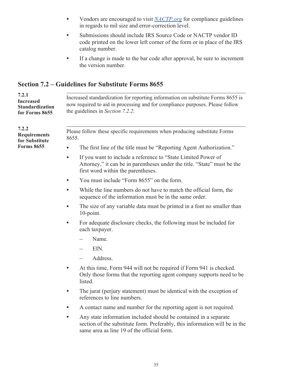- <span id="page-36-0"></span>• Vendors are encouraged to visit *[NACTP.org](https://www.nactp.org)* for compliance guidelines in regards to mil size and error-correction level.
- Submissions should include IRS Source Code or NACTP vendor ID code printed on the lower left corner of the form or in place of the IRS catalog number.
- If a change is made to the bar code after approval, be sure to increment the version number.

## **Section 7.2 – Guidelines for Substitute Forms 8655**

| 7.2.1<br><b>Increased</b><br><b>Standardization</b><br>for Forms 8655 | Increased standardization for reporting information on substitute Forms 8655 is<br>now required to aid in processing and for compliance purposes. Please follow<br>the guidelines in Section 7.2.2.        |  |  |  |  |
|-----------------------------------------------------------------------|------------------------------------------------------------------------------------------------------------------------------------------------------------------------------------------------------------|--|--|--|--|
| 7.2.2<br><b>Requirements</b><br>for Substitute                        | Please follow these specific requirements when producing substitute Forms<br>8655.                                                                                                                         |  |  |  |  |
| <b>Forms 8655</b>                                                     | The first line of the title must be "Reporting Agent Authorization."<br>$\bullet$                                                                                                                          |  |  |  |  |
|                                                                       | If you want to include a reference to "State Limited Power of<br>$\bullet$<br>Attorney," it can be in parentheses under the title. "State" must be the<br>first word within the parentheses.               |  |  |  |  |
|                                                                       | You must include "Form 8655" on the form.<br>$\bullet$                                                                                                                                                     |  |  |  |  |
|                                                                       | While the line numbers do not have to match the official form, the<br>$\bullet$<br>sequence of the information must be in the same order.                                                                  |  |  |  |  |
|                                                                       | The size of any variable data must be printed in a font no smaller than<br>10-point.                                                                                                                       |  |  |  |  |
|                                                                       | For adequate disclosure checks, the following must be included for<br>$\bullet$<br>each taxpayer.                                                                                                          |  |  |  |  |
|                                                                       | Name.                                                                                                                                                                                                      |  |  |  |  |
|                                                                       | EIN.                                                                                                                                                                                                       |  |  |  |  |
|                                                                       | Address.                                                                                                                                                                                                   |  |  |  |  |
|                                                                       | At this time, Form 944 will not be required if Form 941 is checked.<br>$\bullet$<br>Only those forms that the reporting agent company supports need to be<br>listed.                                       |  |  |  |  |
|                                                                       | The jurat (perjury statement) must be identical with the exception of<br>$\bullet$<br>references to line numbers.                                                                                          |  |  |  |  |
|                                                                       | A contact name and number for the reporting agent is not required.<br>$\bullet$                                                                                                                            |  |  |  |  |
|                                                                       | Any state information included should be contained in a separate<br>$\bullet$<br>section of the substitute form. Preferably, this information will be in the<br>same area as line 19 of the official form. |  |  |  |  |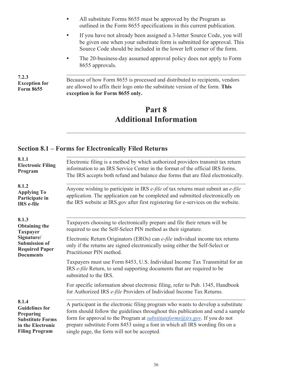- <span id="page-37-0"></span>• All substitute Forms 8655 must be approved by the Program as outlined in the Form 8655 specifications in this current publication.
- If you have not already been assigned a 3-letter Source Code, you will be given one when your substitute form is submitted for approval. This Source Code should be included in the lower left corner of the form.
- The 20-business-day assumed approval policy does not apply to Form 8655 approvals.

**7.2.3 Exception for Form 8655**

. Because of how Form 8655 is processed and distributed to recipients, vendors are allowed to affix their logo onto the substitute version of the form. **This exception is for Form 8655 only.**

# **Part 8 Additional Information**

#### **Section 8.1 – Forms for Electronically Filed Returns**

| 8.1.1<br><b>Electronic Filing</b><br>Program                                                                         | Electronic filing is a method by which authorized providers transmit tax return<br>information to an IRS Service Center in the format of the official IRS forms.<br>The IRS accepts both refund and balance due forms that are filed electronically.                                                                                                                             |
|----------------------------------------------------------------------------------------------------------------------|----------------------------------------------------------------------------------------------------------------------------------------------------------------------------------------------------------------------------------------------------------------------------------------------------------------------------------------------------------------------------------|
| 8.1.2<br><b>Applying To</b><br>Participate in<br><b>IRS</b> e-file                                                   | Anyone wishing to participate in IRS e-file of tax returns must submit an e-file<br>application. The application can be completed and submitted electronically on<br>the IRS website at IRS gov after first registering for e-services on the website.                                                                                                                           |
| 8.1.3<br><b>Obtaining the</b><br><b>Taxpayer</b>                                                                     | Taxpayers choosing to electronically prepare and file their return will be<br>required to use the Self-Select PIN method as their signature.                                                                                                                                                                                                                                     |
| Signature/<br><b>Submission of</b><br><b>Required Paper</b><br><b>Documents</b>                                      | Electronic Return Originators (EROs) can e-file individual income tax returns<br>only if the returns are signed electronically using either the Self-Select or<br>Practitioner PIN method.                                                                                                                                                                                       |
|                                                                                                                      | Taxpayers must use Form 8453, U.S. Individual Income Tax Transmittal for an<br>IRS <i>e-file</i> Return, to send supporting documents that are required to be<br>submitted to the IRS.                                                                                                                                                                                           |
|                                                                                                                      | For specific information about electronic filing, refer to Pub. 1345, Handbook<br>for Authorized IRS e-file Providers of Individual Income Tax Returns.                                                                                                                                                                                                                          |
| 8.1.4<br><b>Guidelines for</b><br>Preparing<br><b>Substitute Forms</b><br>in the Electronic<br><b>Filing Program</b> | A participant in the electronic filing program who wants to develop a substitute<br>form should follow the guidelines throughout this publication and send a sample<br>form for approval to the Program at substituteforms@irs.gov. If you do not<br>prepare substitute Form 8453 using a font in which all IRS wording fits on a<br>single page, the form will not be accepted. |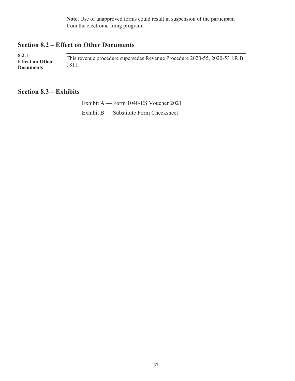**Note.** Use of unapproved forms could result in suspension of the participant from the electronic filing program.

#### <span id="page-38-0"></span>**Section 8.2 – Effect on Other Documents**

. This revenue procedure supersedes Revenue Procedure 2020-55, 2020-53 I.R.B. 1811. **8.2.1 Effect on Other Documents**

#### **Section 8.3 – Exhibits**

Exhibit A — Form 1040-ES Voucher 2021 Exhibit B — Substitute Form Checksheet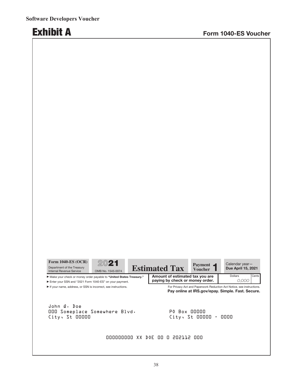$\sim$ 

m.

 $\sim$ 

| <b>Form 1040-ES (OCR)</b><br>Department of the Treasury<br><b>Internal Revenue Service</b> | 2021<br>OMB No. 1545-0074 |     | <b>Estimated Tax</b>            | Payment $\blacksquare$<br><b>Voucher</b> | Calendar year-<br><b>Due April 15, 2021</b>                                                                                |
|--------------------------------------------------------------------------------------------|---------------------------|-----|---------------------------------|------------------------------------------|----------------------------------------------------------------------------------------------------------------------------|
| Make your check or money order payable to "United States Treasury."                        |                           |     | Amount of estimated tax you are |                                          | Cents<br><b>Dollars</b>                                                                                                    |
| Enter your SSN and "2021 Form 1040-ES" on your payment.                                    |                           |     | paying by check or money order. |                                          | 0.000                                                                                                                      |
| If your name, address, or SSN is incorrect, see instructions.                              |                           |     |                                 |                                          | For Privacy Act and Paperwork Reduction Act Notice, see instructions.<br>Pay online at IRS.gov/epay. Simple. Fast. Secure. |
| John Q. Doe<br>OOO Someplace Somewhere Blvd.<br>$City - St 00000$                          |                           |     | <b>PO Box 00000</b>             | $City_1$ St 00000 -                      | 0000                                                                                                                       |
|                                                                                            | ,,,,,,,,,,,,,,,,          | XX. | DOE OO O 202112 OOO             |                                          |                                                                                                                            |